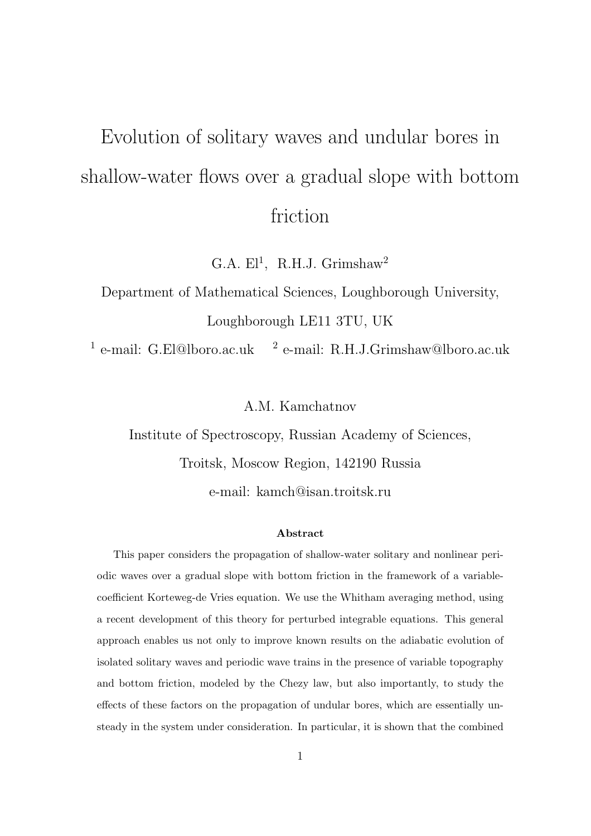# Evolution of solitary waves and undular bores in shallow-water flows over a gradual slope with bottom friction

G.A.  $El<sup>1</sup>$ , R.H.J. Grimshaw<sup>2</sup>

Department of Mathematical Sciences, Loughborough University, Loughborough LE11 3TU, UK

 $<sup>1</sup>$  e-mail: G.El@lboro.ac.uk  $<sup>2</sup>$ </sup></sup> e-mail: R.H.J.Grimshaw@lboro.ac.uk

A.M. Kamchatnov

Institute of Spectroscopy, Russian Academy of Sciences,

Troitsk, Moscow Region, 142190 Russia

e-mail: kamch@isan.troitsk.ru

#### Abstract

This paper considers the propagation of shallow-water solitary and nonlinear periodic waves over a gradual slope with bottom friction in the framework of a variablecoefficient Korteweg-de Vries equation. We use the Whitham averaging method, using a recent development of this theory for perturbed integrable equations. This general approach enables us not only to improve known results on the adiabatic evolution of isolated solitary waves and periodic wave trains in the presence of variable topography and bottom friction, modeled by the Chezy law, but also importantly, to study the effects of these factors on the propagation of undular bores, which are essentially unsteady in the system under consideration. In particular, it is shown that the combined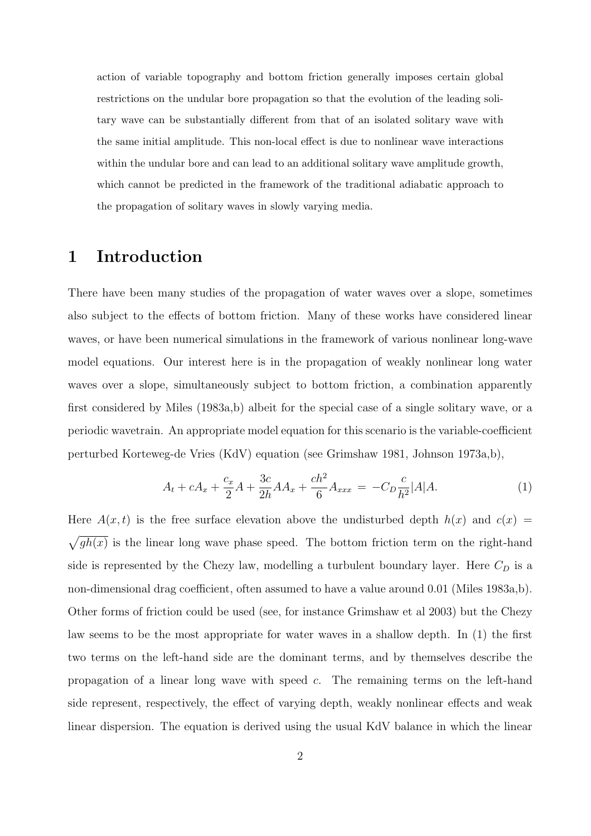action of variable topography and bottom friction generally imposes certain global restrictions on the undular bore propagation so that the evolution of the leading solitary wave can be substantially different from that of an isolated solitary wave with the same initial amplitude. This non-local effect is due to nonlinear wave interactions within the undular bore and can lead to an additional solitary wave amplitude growth, which cannot be predicted in the framework of the traditional adiabatic approach to the propagation of solitary waves in slowly varying media.

## 1 Introduction

There have been many studies of the propagation of water waves over a slope, sometimes also subject to the effects of bottom friction. Many of these works have considered linear waves, or have been numerical simulations in the framework of various nonlinear long-wave model equations. Our interest here is in the propagation of weakly nonlinear long water waves over a slope, simultaneously subject to bottom friction, a combination apparently first considered by Miles (1983a,b) albeit for the special case of a single solitary wave, or a periodic wavetrain. An appropriate model equation for this scenario is the variable-coefficient perturbed Korteweg-de Vries (KdV) equation (see Grimshaw 1981, Johnson 1973a,b),

$$
A_t + cA_x + \frac{c_x}{2}A + \frac{3c}{2h}AA_x + \frac{ch^2}{6}A_{xxx} = -C_D \frac{c}{h^2}|A|A.
$$
 (1)

Here  $A(x,t)$  is the free surface elevation above the undisturbed depth  $h(x)$  and  $c(x)$  $\overline{p}$  $gh(x)$  is the linear long wave phase speed. The bottom friction term on the right-hand side is represented by the Chezy law, modelling a turbulent boundary layer. Here  $C_D$  is a non-dimensional drag coefficient, often assumed to have a value around 0.01 (Miles 1983a,b). Other forms of friction could be used (see, for instance Grimshaw et al 2003) but the Chezy law seems to be the most appropriate for water waves in a shallow depth. In (1) the first two terms on the left-hand side are the dominant terms, and by themselves describe the propagation of a linear long wave with speed c. The remaining terms on the left-hand side represent, respectively, the effect of varying depth, weakly nonlinear effects and weak linear dispersion. The equation is derived using the usual KdV balance in which the linear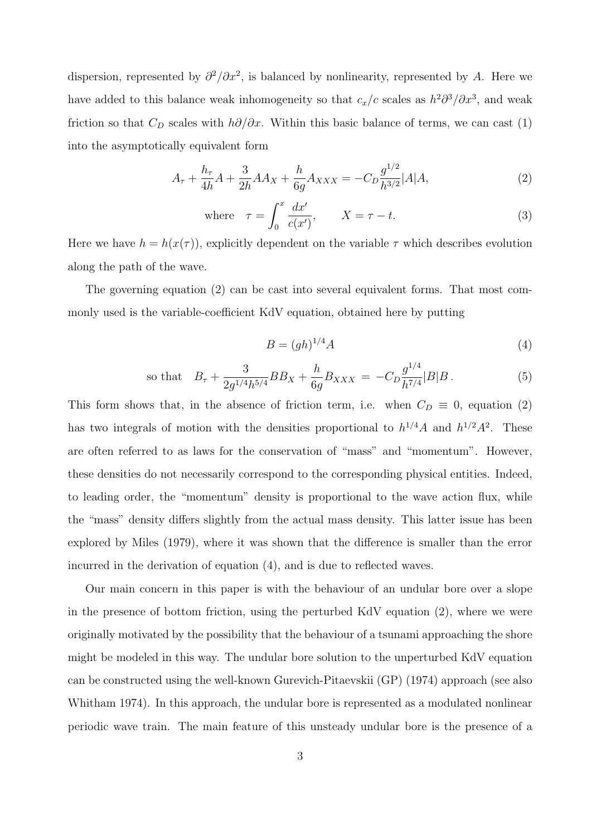dispersion, represented by  $\partial^2/\partial x^2$ , is balanced by nonlinearity, represented by A. Here we have added to this balance weak inhomogeneity so that  $c_x/c$  scales as  $h^2\partial^3/\partial x^3$ , and weak friction so that  $C_D$  scales with  $h\partial/\partial x$ . Within this basic balance of terms, we can cast (1) into the asymptotically equivalent form

$$
A_{\tau} + \frac{h_{\tau}}{4h}A + \frac{3}{2h}AA_X + \frac{h}{6g}A_{XXX} = -C_D \frac{g^{1/2}}{h^{3/2}}|A|A,
$$
\n(2)

where 
$$
\tau = \int_0^x \frac{dx'}{c(x')}
$$
,  $X = \tau - t$ . (3)

Here we have  $h = h(x(\tau))$ , explicitly dependent on the variable  $\tau$  which describes evolution along the path of the wave.

The governing equation (2) can be cast into several equivalent forms. That most commonly used is the variable-coefficient KdV equation, obtained here by putting

$$
B = (gh)^{1/4}A\tag{4}
$$

so that 
$$
B_{\tau} + \frac{3}{2g^{1/4}h^{5/4}}BB_X + \frac{h}{6g}B_{XXX} = -C_D \frac{g^{1/4}}{h^{7/4}}|B|B.
$$
 (5)

This form shows that, in the absence of friction term, i.e. when  $C_D \equiv 0$ , equation (2) has two integrals of motion with the densities proportional to  $h^{1/4}A$  and  $h^{1/2}A^2$ . These are often referred to as laws for the conservation of "mass" and "momentum". However, these densities do not necessarily correspond to the corresponding physical entities. Indeed, to leading order, the "momentum" density is proportional to the wave action flux, while the "mass" density differs slightly from the actual mass density. This latter issue has been explored by Miles (1979), where it was shown that the difference is smaller than the error incurred in the derivation of equation (4), and is due to reflected waves.

Our main concern in this paper is with the behaviour of an undular bore over a slope in the presence of bottom friction, using the perturbed KdV equation (2), where we were originally motivated by the possibility that the behaviour of a tsunami approaching the shore might be modeled in this way. The undular bore solution to the unperturbed KdV equation can be constructed using the well-known Gurevich-Pitaevskii (GP) (1974) approach (see also Whitham 1974). In this approach, the undular bore is represented as a modulated nonlinear periodic wave train. The main feature of this unsteady undular bore is the presence of a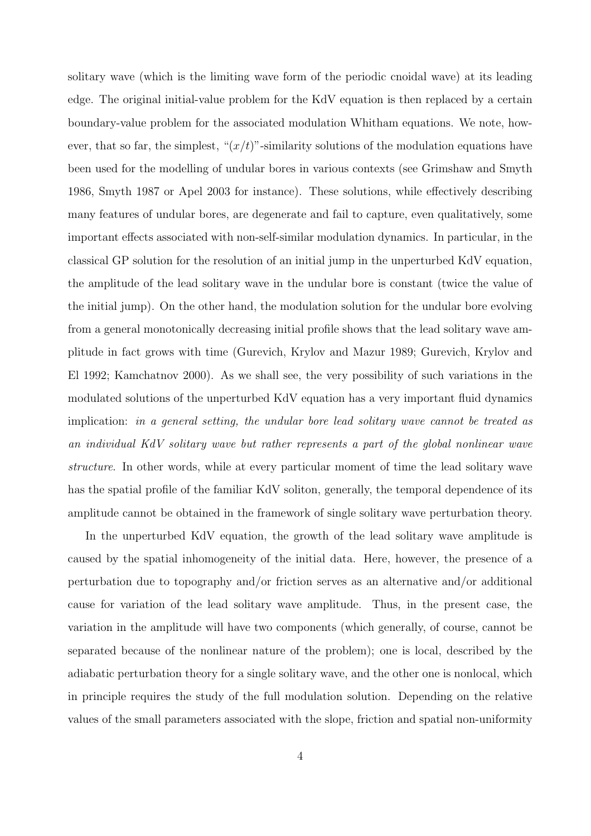solitary wave (which is the limiting wave form of the periodic cnoidal wave) at its leading edge. The original initial-value problem for the KdV equation is then replaced by a certain boundary-value problem for the associated modulation Whitham equations. We note, however, that so far, the simplest, " $(x/t)$ "-similarity solutions of the modulation equations have been used for the modelling of undular bores in various contexts (see Grimshaw and Smyth 1986, Smyth 1987 or Apel 2003 for instance). These solutions, while effectively describing many features of undular bores, are degenerate and fail to capture, even qualitatively, some important effects associated with non-self-similar modulation dynamics. In particular, in the classical GP solution for the resolution of an initial jump in the unperturbed KdV equation, the amplitude of the lead solitary wave in the undular bore is constant (twice the value of the initial jump). On the other hand, the modulation solution for the undular bore evolving from a general monotonically decreasing initial profile shows that the lead solitary wave amplitude in fact grows with time (Gurevich, Krylov and Mazur 1989; Gurevich, Krylov and El 1992; Kamchatnov 2000). As we shall see, the very possibility of such variations in the modulated solutions of the unperturbed KdV equation has a very important fluid dynamics implication: in a general setting, the undular bore lead solitary wave cannot be treated as an individual KdV solitary wave but rather represents a part of the global nonlinear wave structure. In other words, while at every particular moment of time the lead solitary wave has the spatial profile of the familiar KdV soliton, generally, the temporal dependence of its amplitude cannot be obtained in the framework of single solitary wave perturbation theory.

In the unperturbed KdV equation, the growth of the lead solitary wave amplitude is caused by the spatial inhomogeneity of the initial data. Here, however, the presence of a perturbation due to topography and/or friction serves as an alternative and/or additional cause for variation of the lead solitary wave amplitude. Thus, in the present case, the variation in the amplitude will have two components (which generally, of course, cannot be separated because of the nonlinear nature of the problem); one is local, described by the adiabatic perturbation theory for a single solitary wave, and the other one is nonlocal, which in principle requires the study of the full modulation solution. Depending on the relative values of the small parameters associated with the slope, friction and spatial non-uniformity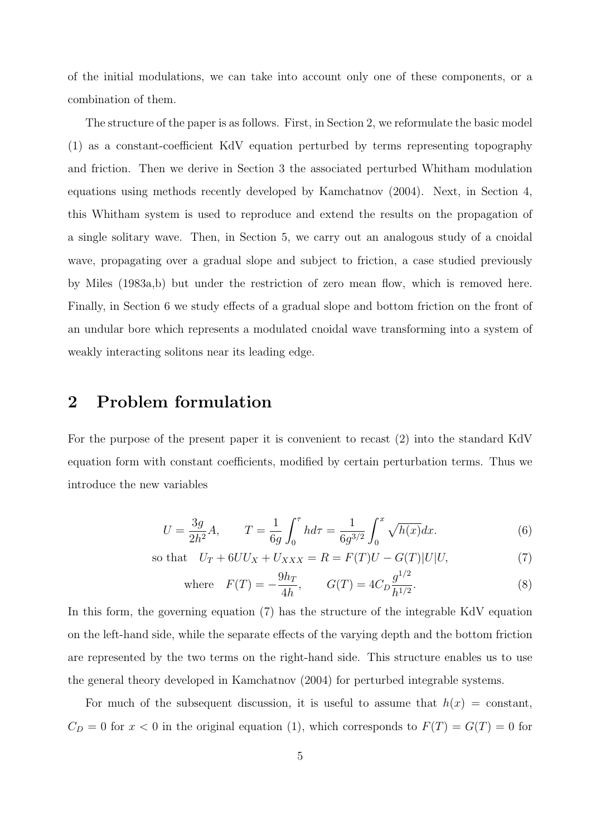of the initial modulations, we can take into account only one of these components, or a combination of them.

The structure of the paper is as follows. First, in Section 2, we reformulate the basic model (1) as a constant-coefficient KdV equation perturbed by terms representing topography and friction. Then we derive in Section 3 the associated perturbed Whitham modulation equations using methods recently developed by Kamchatnov (2004). Next, in Section 4, this Whitham system is used to reproduce and extend the results on the propagation of a single solitary wave. Then, in Section 5, we carry out an analogous study of a cnoidal wave, propagating over a gradual slope and subject to friction, a case studied previously by Miles (1983a,b) but under the restriction of zero mean flow, which is removed here. Finally, in Section 6 we study effects of a gradual slope and bottom friction on the front of an undular bore which represents a modulated cnoidal wave transforming into a system of weakly interacting solitons near its leading edge.

## 2 Problem formulation

For the purpose of the present paper it is convenient to recast (2) into the standard KdV equation form with constant coefficients, modified by certain perturbation terms. Thus we introduce the new variables

$$
U = \frac{3g}{2h^2}A, \qquad T = \frac{1}{6g} \int_0^{\tau} h d\tau = \frac{1}{6g^{3/2}} \int_0^x \sqrt{h(x)} dx.
$$
 (6)

so that 
$$
U_T + 6UU_X + U_{XXX} = R = F(T)U - G(T)|U|U,
$$
 (7)

where 
$$
F(T) = -\frac{9h_T}{4h}
$$
,  $G(T) = 4C_D \frac{g^{1/2}}{h^{1/2}}$ . (8)

In this form, the governing equation (7) has the structure of the integrable KdV equation on the left-hand side, while the separate effects of the varying depth and the bottom friction are represented by the two terms on the right-hand side. This structure enables us to use the general theory developed in Kamchatnov (2004) for perturbed integrable systems.

For much of the subsequent discussion, it is useful to assume that  $h(x) = constant$ ,  $C_D = 0$  for  $x < 0$  in the original equation (1), which corresponds to  $F(T) = G(T) = 0$  for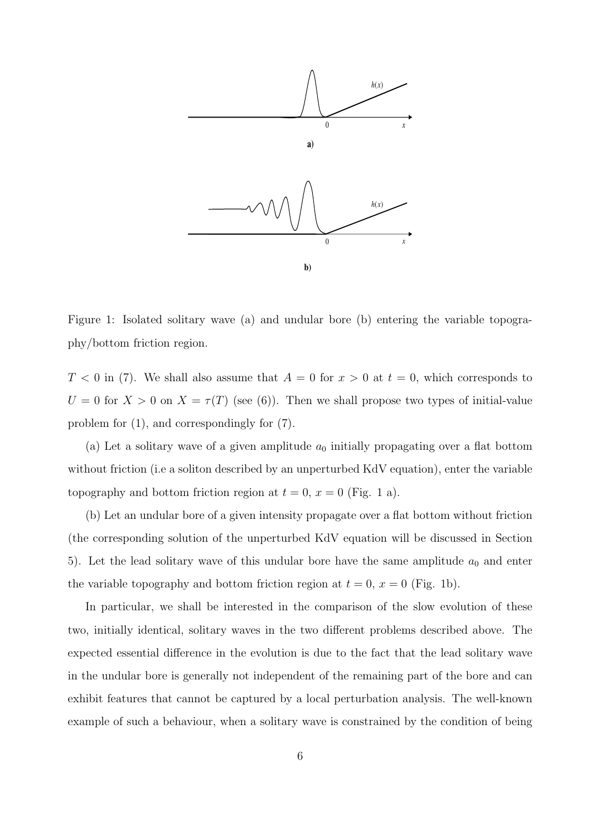

Figure 1: Isolated solitary wave (a) and undular bore (b) entering the variable topography/bottom friction region.

 $T < 0$  in (7). We shall also assume that  $A = 0$  for  $x > 0$  at  $t = 0$ , which corresponds to  $U = 0$  for  $X > 0$  on  $X = \tau(T)$  (see (6)). Then we shall propose two types of initial-value problem for (1), and correspondingly for (7).

(a) Let a solitary wave of a given amplitude  $a_0$  initially propagating over a flat bottom without friction (i.e a soliton described by an unperturbed KdV equation), enter the variable topography and bottom friction region at  $t = 0$ ,  $x = 0$  (Fig. 1 a).

(b) Let an undular bore of a given intensity propagate over a flat bottom without friction (the corresponding solution of the unperturbed KdV equation will be discussed in Section 5). Let the lead solitary wave of this undular bore have the same amplitude  $a_0$  and enter the variable topography and bottom friction region at  $t = 0$ ,  $x = 0$  (Fig. 1b).

In particular, we shall be interested in the comparison of the slow evolution of these two, initially identical, solitary waves in the two different problems described above. The expected essential difference in the evolution is due to the fact that the lead solitary wave in the undular bore is generally not independent of the remaining part of the bore and can exhibit features that cannot be captured by a local perturbation analysis. The well-known example of such a behaviour, when a solitary wave is constrained by the condition of being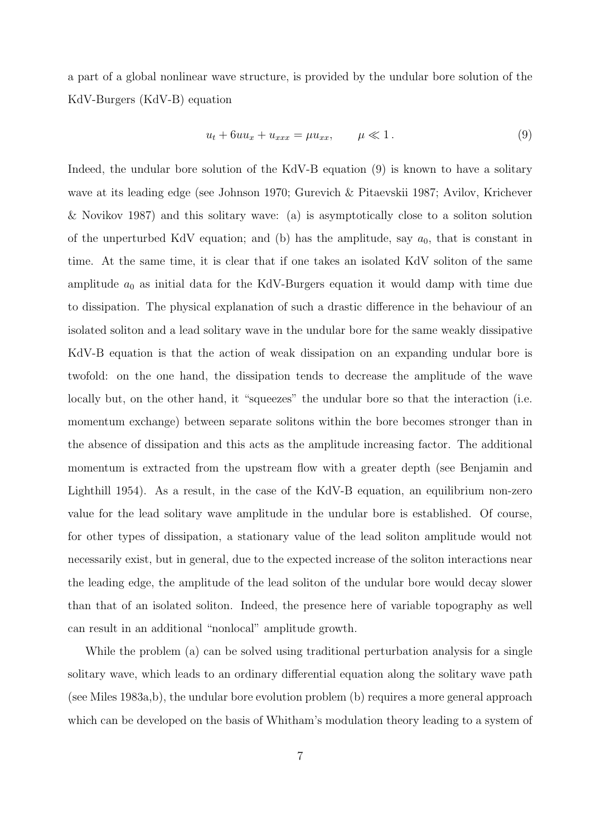a part of a global nonlinear wave structure, is provided by the undular bore solution of the KdV-Burgers (KdV-B) equation

$$
u_t + 6uu_x + u_{xxx} = \mu u_{xx}, \qquad \mu \ll 1. \tag{9}
$$

Indeed, the undular bore solution of the KdV-B equation (9) is known to have a solitary wave at its leading edge (see Johnson 1970; Gurevich & Pitaevskii 1987; Avilov, Krichever & Novikov 1987) and this solitary wave: (a) is asymptotically close to a soliton solution of the unperturbed KdV equation; and (b) has the amplitude, say  $a_0$ , that is constant in time. At the same time, it is clear that if one takes an isolated KdV soliton of the same amplitude  $a_0$  as initial data for the KdV-Burgers equation it would damp with time due to dissipation. The physical explanation of such a drastic difference in the behaviour of an isolated soliton and a lead solitary wave in the undular bore for the same weakly dissipative KdV-B equation is that the action of weak dissipation on an expanding undular bore is twofold: on the one hand, the dissipation tends to decrease the amplitude of the wave locally but, on the other hand, it "squeezes" the undular bore so that the interaction (i.e. momentum exchange) between separate solitons within the bore becomes stronger than in the absence of dissipation and this acts as the amplitude increasing factor. The additional momentum is extracted from the upstream flow with a greater depth (see Benjamin and Lighthill 1954). As a result, in the case of the KdV-B equation, an equilibrium non-zero value for the lead solitary wave amplitude in the undular bore is established. Of course, for other types of dissipation, a stationary value of the lead soliton amplitude would not necessarily exist, but in general, due to the expected increase of the soliton interactions near the leading edge, the amplitude of the lead soliton of the undular bore would decay slower than that of an isolated soliton. Indeed, the presence here of variable topography as well can result in an additional "nonlocal" amplitude growth.

While the problem (a) can be solved using traditional perturbation analysis for a single solitary wave, which leads to an ordinary differential equation along the solitary wave path (see Miles 1983a,b), the undular bore evolution problem (b) requires a more general approach which can be developed on the basis of Whitham's modulation theory leading to a system of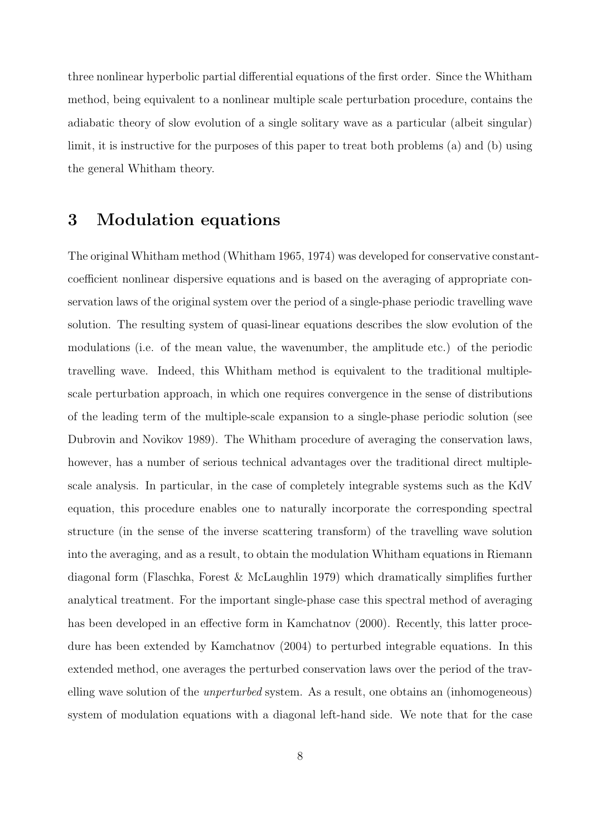three nonlinear hyperbolic partial differential equations of the first order. Since the Whitham method, being equivalent to a nonlinear multiple scale perturbation procedure, contains the adiabatic theory of slow evolution of a single solitary wave as a particular (albeit singular) limit, it is instructive for the purposes of this paper to treat both problems (a) and (b) using the general Whitham theory.

## 3 Modulation equations

The original Whitham method (Whitham 1965, 1974) was developed for conservative constantcoefficient nonlinear dispersive equations and is based on the averaging of appropriate conservation laws of the original system over the period of a single-phase periodic travelling wave solution. The resulting system of quasi-linear equations describes the slow evolution of the modulations (i.e. of the mean value, the wavenumber, the amplitude etc.) of the periodic travelling wave. Indeed, this Whitham method is equivalent to the traditional multiplescale perturbation approach, in which one requires convergence in the sense of distributions of the leading term of the multiple-scale expansion to a single-phase periodic solution (see Dubrovin and Novikov 1989). The Whitham procedure of averaging the conservation laws, however, has a number of serious technical advantages over the traditional direct multiplescale analysis. In particular, in the case of completely integrable systems such as the KdV equation, this procedure enables one to naturally incorporate the corresponding spectral structure (in the sense of the inverse scattering transform) of the travelling wave solution into the averaging, and as a result, to obtain the modulation Whitham equations in Riemann diagonal form (Flaschka, Forest & McLaughlin 1979) which dramatically simplifies further analytical treatment. For the important single-phase case this spectral method of averaging has been developed in an effective form in Kamchatnov (2000). Recently, this latter procedure has been extended by Kamchatnov (2004) to perturbed integrable equations. In this extended method, one averages the perturbed conservation laws over the period of the travelling wave solution of the unperturbed system. As a result, one obtains an (inhomogeneous) system of modulation equations with a diagonal left-hand side. We note that for the case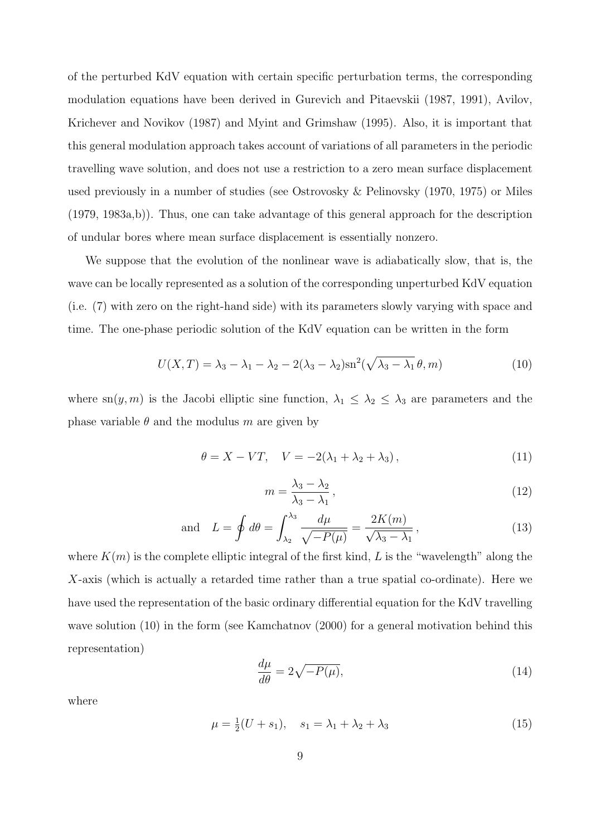of the perturbed KdV equation with certain specific perturbation terms, the corresponding modulation equations have been derived in Gurevich and Pitaevskii (1987, 1991), Avilov, Krichever and Novikov (1987) and Myint and Grimshaw (1995). Also, it is important that this general modulation approach takes account of variations of all parameters in the periodic travelling wave solution, and does not use a restriction to a zero mean surface displacement used previously in a number of studies (see Ostrovosky & Pelinovsky (1970, 1975) or Miles (1979, 1983a,b)). Thus, one can take advantage of this general approach for the description of undular bores where mean surface displacement is essentially nonzero.

We suppose that the evolution of the nonlinear wave is adiabatically slow, that is, the wave can be locally represented as a solution of the corresponding unperturbed KdV equation (i.e. (7) with zero on the right-hand side) with its parameters slowly varying with space and time. The one-phase periodic solution of the KdV equation can be written in the form

$$
U(X,T) = \lambda_3 - \lambda_1 - \lambda_2 - 2(\lambda_3 - \lambda_2)\operatorname{sn}^2(\sqrt{\lambda_3 - \lambda_1} \theta, m)
$$
\n(10)

where sn(y, m) is the Jacobi elliptic sine function,  $\lambda_1 \leq \lambda_2 \leq \lambda_3$  are parameters and the phase variable  $\theta$  and the modulus m are given by

$$
\theta = X - VT, \quad V = -2(\lambda_1 + \lambda_2 + \lambda_3), \tag{11}
$$

$$
m = \frac{\lambda_3 - \lambda_2}{\lambda_3 - \lambda_1},\tag{12}
$$

and 
$$
L = \oint d\theta = \int_{\lambda_2}^{\lambda_3} \frac{d\mu}{\sqrt{-P(\mu)}} = \frac{2K(m)}{\sqrt{\lambda_3 - \lambda_1}},
$$
\n(13)

where  $K(m)$  is the complete elliptic integral of the first kind, L is the "wavelength" along the  $X$ -axis (which is actually a retarded time rather than a true spatial co-ordinate). Here we have used the representation of the basic ordinary differential equation for the KdV travelling wave solution (10) in the form (see Kamchatnov (2000) for a general motivation behind this representation)

$$
\frac{d\mu}{d\theta} = 2\sqrt{-P(\mu)},\tag{14}
$$

where

$$
\mu = \frac{1}{2}(U + s_1), \quad s_1 = \lambda_1 + \lambda_2 + \lambda_3 \tag{15}
$$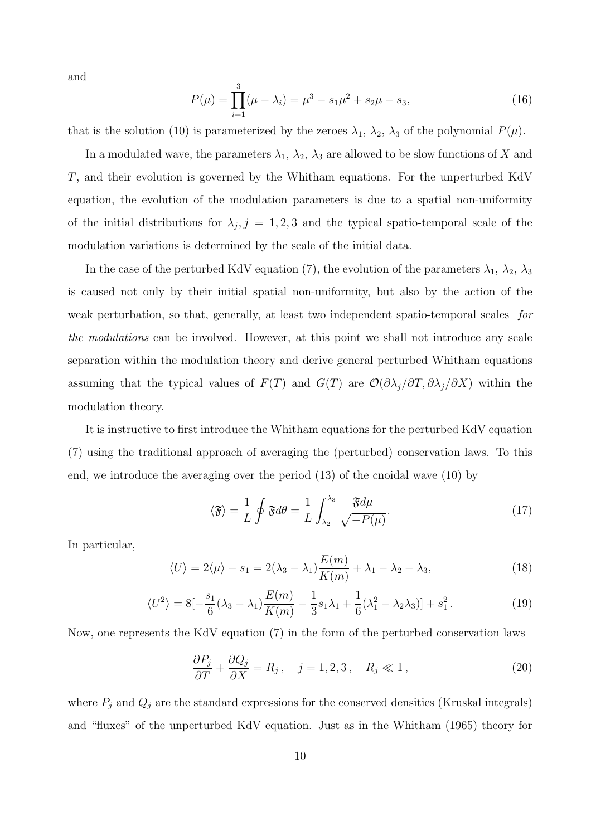and

$$
P(\mu) = \prod_{i=1}^{3} (\mu - \lambda_i) = \mu^3 - s_1 \mu^2 + s_2 \mu - s_3,
$$
\n(16)

that is the solution (10) is parameterized by the zeroes  $\lambda_1$ ,  $\lambda_2$ ,  $\lambda_3$  of the polynomial  $P(\mu)$ .

In a modulated wave, the parameters  $\lambda_1$ ,  $\lambda_2$ ,  $\lambda_3$  are allowed to be slow functions of X and T, and their evolution is governed by the Whitham equations. For the unperturbed KdV equation, the evolution of the modulation parameters is due to a spatial non-uniformity of the initial distributions for  $\lambda_j$ ,  $j = 1, 2, 3$  and the typical spatio-temporal scale of the modulation variations is determined by the scale of the initial data.

In the case of the perturbed KdV equation (7), the evolution of the parameters  $\lambda_1$ ,  $\lambda_2$ ,  $\lambda_3$ is caused not only by their initial spatial non-uniformity, but also by the action of the weak perturbation, so that, generally, at least two independent spatio-temporal scales for the modulations can be involved. However, at this point we shall not introduce any scale separation within the modulation theory and derive general perturbed Whitham equations assuming that the typical values of  $F(T)$  and  $G(T)$  are  $\mathcal{O}(\partial \lambda_j/\partial T, \partial \lambda_j/\partial X)$  within the modulation theory.

It is instructive to first introduce the Whitham equations for the perturbed KdV equation (7) using the traditional approach of averaging the (perturbed) conservation laws. To this end, we introduce the averaging over the period (13) of the cnoidal wave (10) by

$$
\langle \mathfrak{F} \rangle = \frac{1}{L} \oint \mathfrak{F} d\theta = \frac{1}{L} \int_{\lambda_2}^{\lambda_3} \frac{\mathfrak{F} d\mu}{\sqrt{-P(\mu)}}.
$$
 (17)

In particular,

$$
\langle U \rangle = 2\langle \mu \rangle - s_1 = 2(\lambda_3 - \lambda_1) \frac{E(m)}{K(m)} + \lambda_1 - \lambda_2 - \lambda_3,\tag{18}
$$

$$
\langle U^2 \rangle = 8[-\frac{s_1}{6}(\lambda_3 - \lambda_1)\frac{E(m)}{K(m)} - \frac{1}{3}s_1\lambda_1 + \frac{1}{6}(\lambda_1^2 - \lambda_2\lambda_3)] + s_1^2.
$$
 (19)

Now, one represents the KdV equation (7) in the form of the perturbed conservation laws

$$
\frac{\partial P_j}{\partial T} + \frac{\partial Q_j}{\partial X} = R_j, \quad j = 1, 2, 3, \quad R_j \ll 1,
$$
\n(20)

where  $P_j$  and  $Q_j$  are the standard expressions for the conserved densities (Kruskal integrals) and "fluxes" of the unperturbed KdV equation. Just as in the Whitham (1965) theory for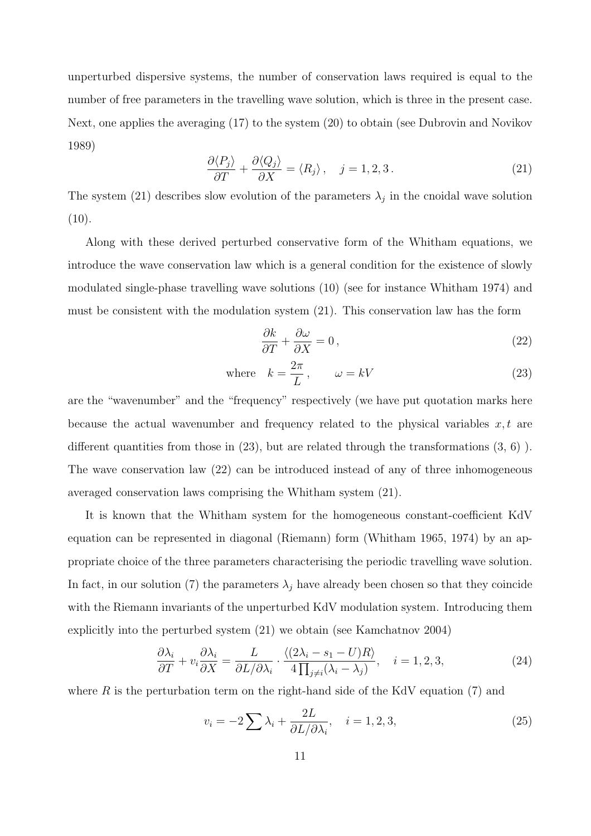unperturbed dispersive systems, the number of conservation laws required is equal to the number of free parameters in the travelling wave solution, which is three in the present case. Next, one applies the averaging (17) to the system (20) to obtain (see Dubrovin and Novikov 1989)

$$
\frac{\partial \langle P_j \rangle}{\partial T} + \frac{\partial \langle Q_j \rangle}{\partial X} = \langle R_j \rangle, \quad j = 1, 2, 3. \tag{21}
$$

The system (21) describes slow evolution of the parameters  $\lambda_j$  in the cnoidal wave solution  $(10).$ 

Along with these derived perturbed conservative form of the Whitham equations, we introduce the wave conservation law which is a general condition for the existence of slowly modulated single-phase travelling wave solutions (10) (see for instance Whitham 1974) and must be consistent with the modulation system (21). This conservation law has the form

$$
\frac{\partial k}{\partial T} + \frac{\partial \omega}{\partial X} = 0, \qquad (22)
$$

where 
$$
k = \frac{2\pi}{L}
$$
,  $\omega = kV$  (23)

are the "wavenumber" and the "frequency" respectively (we have put quotation marks here because the actual wavenumber and frequency related to the physical variables  $x, t$  are different quantities from those in  $(23)$ , but are related through the transformations  $(3, 6)$ ). The wave conservation law (22) can be introduced instead of any of three inhomogeneous averaged conservation laws comprising the Whitham system (21).

It is known that the Whitham system for the homogeneous constant-coefficient KdV equation can be represented in diagonal (Riemann) form (Whitham 1965, 1974) by an appropriate choice of the three parameters characterising the periodic travelling wave solution. In fact, in our solution (7) the parameters  $\lambda_j$  have already been chosen so that they coincide with the Riemann invariants of the unperturbed KdV modulation system. Introducing them explicitly into the perturbed system (21) we obtain (see Kamchatnov 2004)

$$
\frac{\partial \lambda_i}{\partial T} + v_i \frac{\partial \lambda_i}{\partial X} = \frac{L}{\partial L/\partial \lambda_i} \cdot \frac{\langle (2\lambda_i - s_1 - U)R \rangle}{4 \prod_{j \neq i} (\lambda_i - \lambda_j)}, \quad i = 1, 2, 3,
$$
\n(24)

where  $R$  is the perturbation term on the right-hand side of the KdV equation (7) and

$$
v_i = -2\sum \lambda_i + \frac{2L}{\partial L/\partial \lambda_i}, \quad i = 1, 2, 3,
$$
\n(25)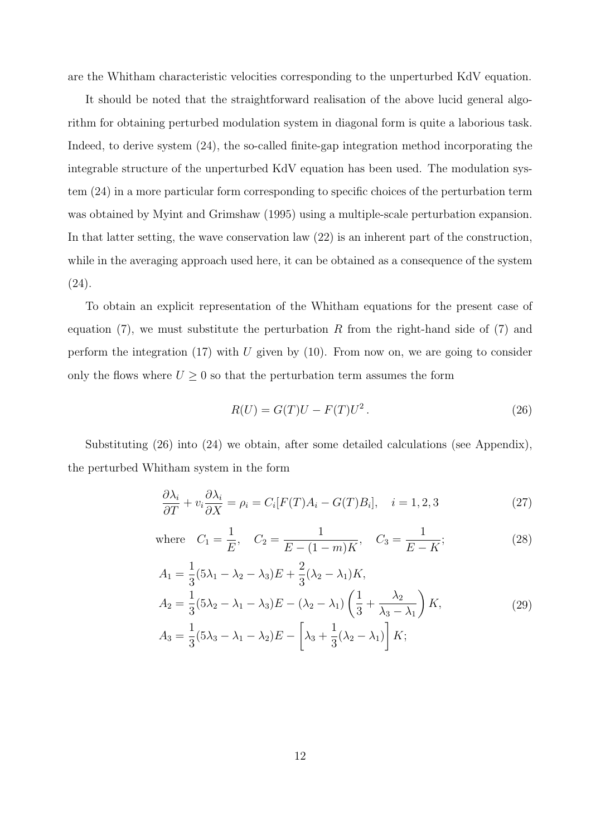are the Whitham characteristic velocities corresponding to the unperturbed KdV equation.

It should be noted that the straightforward realisation of the above lucid general algorithm for obtaining perturbed modulation system in diagonal form is quite a laborious task. Indeed, to derive system (24), the so-called finite-gap integration method incorporating the integrable structure of the unperturbed KdV equation has been used. The modulation system (24) in a more particular form corresponding to specific choices of the perturbation term was obtained by Myint and Grimshaw (1995) using a multiple-scale perturbation expansion. In that latter setting, the wave conservation law (22) is an inherent part of the construction, while in the averaging approach used here, it can be obtained as a consequence of the system (24).

To obtain an explicit representation of the Whitham equations for the present case of equation (7), we must substitute the perturbation R from the right-hand side of (7) and perform the integration  $(17)$  with U given by  $(10)$ . From now on, we are going to consider only the flows where  $U \geq 0$  so that the perturbation term assumes the form

$$
R(U) = G(T)U - F(T)U2.
$$
\n
$$
(26)
$$

Substituting (26) into (24) we obtain, after some detailed calculations (see Appendix), the perturbed Whitham system in the form

$$
\frac{\partial \lambda_i}{\partial T} + v_i \frac{\partial \lambda_i}{\partial X} = \rho_i = C_i[F(T)A_i - G(T)B_i], \quad i = 1, 2, 3
$$
\n(27)

where 
$$
C_1 = \frac{1}{E}
$$
,  $C_2 = \frac{1}{E - (1 - m)K}$ ,  $C_3 = \frac{1}{E - K}$ ; (28)

$$
A_1 = \frac{1}{3}(5\lambda_1 - \lambda_2 - \lambda_3)E + \frac{2}{3}(\lambda_2 - \lambda_1)K,
$$
  
\n
$$
A_2 = \frac{1}{3}(5\lambda_2 - \lambda_1 - \lambda_3)E - (\lambda_2 - \lambda_1)\left(\frac{1}{3} + \frac{\lambda_2}{\lambda_3 - \lambda_1}\right)K,
$$
  
\n
$$
A_3 = \frac{1}{3}(5\lambda_3 - \lambda_1 - \lambda_2)E - \left[\lambda_3 + \frac{1}{3}(\lambda_2 - \lambda_1)\right]K;
$$
\n(29)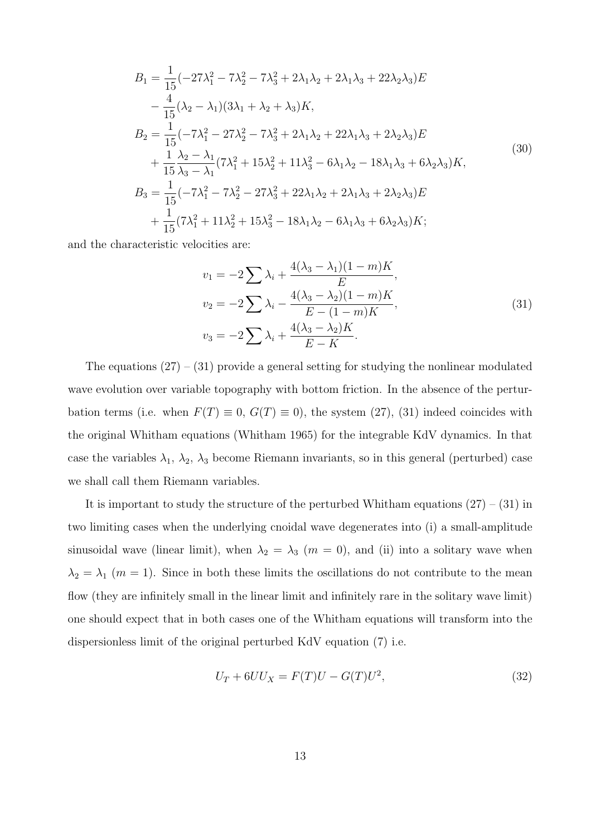$$
B_{1} = \frac{1}{15}(-27\lambda_{1}^{2} - 7\lambda_{2}^{2} - 7\lambda_{3}^{2} + 2\lambda_{1}\lambda_{2} + 2\lambda_{1}\lambda_{3} + 22\lambda_{2}\lambda_{3})E
$$
  
\n
$$
- \frac{4}{15}(\lambda_{2} - \lambda_{1})(3\lambda_{1} + \lambda_{2} + \lambda_{3})K,
$$
  
\n
$$
B_{2} = \frac{1}{15}(-7\lambda_{1}^{2} - 27\lambda_{2}^{2} - 7\lambda_{3}^{2} + 2\lambda_{1}\lambda_{2} + 22\lambda_{1}\lambda_{3} + 2\lambda_{2}\lambda_{3})E
$$
  
\n
$$
+ \frac{1}{15}\frac{\lambda_{2} - \lambda_{1}}{\lambda_{3} - \lambda_{1}}(7\lambda_{1}^{2} + 15\lambda_{2}^{2} + 11\lambda_{3}^{2} - 6\lambda_{1}\lambda_{2} - 18\lambda_{1}\lambda_{3} + 6\lambda_{2}\lambda_{3})K,
$$
  
\n
$$
B_{3} = \frac{1}{15}(-7\lambda_{1}^{2} - 7\lambda_{2}^{2} - 27\lambda_{3}^{2} + 22\lambda_{1}\lambda_{2} + 2\lambda_{1}\lambda_{3} + 2\lambda_{2}\lambda_{3})E
$$
  
\n
$$
+ \frac{1}{15}(7\lambda_{1}^{2} + 11\lambda_{2}^{2} + 15\lambda_{3}^{2} - 18\lambda_{1}\lambda_{2} - 6\lambda_{1}\lambda_{3} + 6\lambda_{2}\lambda_{3})K;
$$
  
\n(30)

and the characteristic velocities are:

$$
v_1 = -2\sum \lambda_i + \frac{4(\lambda_3 - \lambda_1)(1 - m)K}{E},
$$
  
\n
$$
v_2 = -2\sum \lambda_i - \frac{4(\lambda_3 - \lambda_2)(1 - m)K}{E - (1 - m)K},
$$
  
\n
$$
v_3 = -2\sum \lambda_i + \frac{4(\lambda_3 - \lambda_2)K}{E - K}.
$$
\n(31)

The equations  $(27) - (31)$  provide a general setting for studying the nonlinear modulated wave evolution over variable topography with bottom friction. In the absence of the perturbation terms (i.e. when  $F(T) \equiv 0$ ,  $G(T) \equiv 0$ ), the system (27), (31) indeed coincides with the original Whitham equations (Whitham 1965) for the integrable KdV dynamics. In that case the variables  $\lambda_1$ ,  $\lambda_2$ ,  $\lambda_3$  become Riemann invariants, so in this general (perturbed) case we shall call them Riemann variables.

It is important to study the structure of the perturbed Whitham equations  $(27) - (31)$  in two limiting cases when the underlying cnoidal wave degenerates into (i) a small-amplitude sinusoidal wave (linear limit), when  $\lambda_2 = \lambda_3$  ( $m = 0$ ), and (ii) into a solitary wave when  $\lambda_2 = \lambda_1$  (*m* = 1). Since in both these limits the oscillations do not contribute to the mean flow (they are infinitely small in the linear limit and infinitely rare in the solitary wave limit) one should expect that in both cases one of the Whitham equations will transform into the dispersionless limit of the original perturbed KdV equation (7) i.e.

$$
U_T + 6UU_X = F(T)U - G(T)U^2,
$$
\n(32)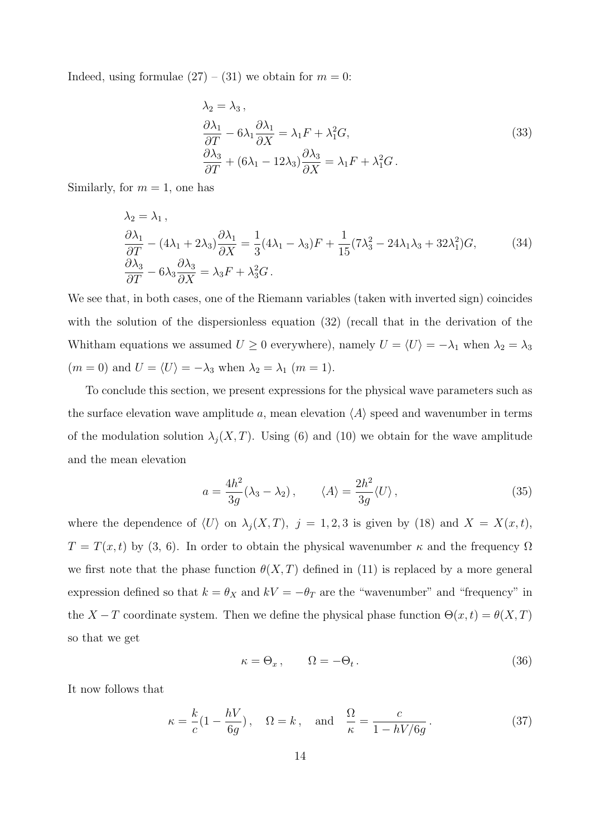Indeed, using formulae  $(27) - (31)$  we obtain for  $m = 0$ :

$$
\lambda_2 = \lambda_3 ,
$$
  
\n
$$
\frac{\partial \lambda_1}{\partial T} - 6\lambda_1 \frac{\partial \lambda_1}{\partial X} = \lambda_1 F + \lambda_1^2 G,
$$
  
\n
$$
\frac{\partial \lambda_3}{\partial T} + (6\lambda_1 - 12\lambda_3) \frac{\partial \lambda_3}{\partial X} = \lambda_1 F + \lambda_1^2 G.
$$
\n(33)

Similarly, for  $m = 1$ , one has

$$
\lambda_2 = \lambda_1,
$$
\n
$$
\frac{\partial \lambda_1}{\partial T} - (4\lambda_1 + 2\lambda_3) \frac{\partial \lambda_1}{\partial X} = \frac{1}{3} (4\lambda_1 - \lambda_3) F + \frac{1}{15} (7\lambda_3^2 - 24\lambda_1 \lambda_3 + 32\lambda_1^2) G,
$$
\n
$$
\frac{\partial \lambda_3}{\partial T} - 6\lambda_3 \frac{\partial \lambda_3}{\partial X} = \lambda_3 F + \lambda_3^2 G.
$$
\n(34)

We see that, in both cases, one of the Riemann variables (taken with inverted sign) coincides with the solution of the dispersionless equation (32) (recall that in the derivation of the Whitham equations we assumed  $U \ge 0$  everywhere), namely  $U = \langle U \rangle = -\lambda_1$  when  $\lambda_2 = \lambda_3$  $(m = 0)$  and  $U = \langle U \rangle = -\lambda_3$  when  $\lambda_2 = \lambda_1$   $(m = 1)$ .

To conclude this section, we present expressions for the physical wave parameters such as the surface elevation wave amplitude a, mean elevation  $\langle A \rangle$  speed and wavenumber in terms of the modulation solution  $\lambda_j(X,T)$ . Using (6) and (10) we obtain for the wave amplitude and the mean elevation

$$
a = \frac{4h^2}{3g}(\lambda_3 - \lambda_2), \qquad \langle A \rangle = \frac{2h^2}{3g} \langle U \rangle, \tag{35}
$$

where the dependence of  $\langle U \rangle$  on  $\lambda_j (X, T)$ ,  $j = 1, 2, 3$  is given by (18) and  $X = X(x, t)$ ,  $T = T(x,t)$  by  $(3, 6)$ . In order to obtain the physical wavenumber  $\kappa$  and the frequency  $\Omega$ we first note that the phase function  $\theta(X,T)$  defined in (11) is replaced by a more general expression defined so that  $k = \theta_X$  and  $kV = -\theta_T$  are the "wavenumber" and "frequency" in the  $X - T$  coordinate system. Then we define the physical phase function  $\Theta(x, t) = \theta(X, T)$ so that we get

$$
\kappa = \Theta_x, \qquad \Omega = -\Theta_t. \tag{36}
$$

It now follows that

$$
\kappa = \frac{k}{c} \left( 1 - \frac{hV}{6g} \right), \quad \Omega = k, \quad \text{and} \quad \frac{\Omega}{\kappa} = \frac{c}{1 - hV/6g} \,. \tag{37}
$$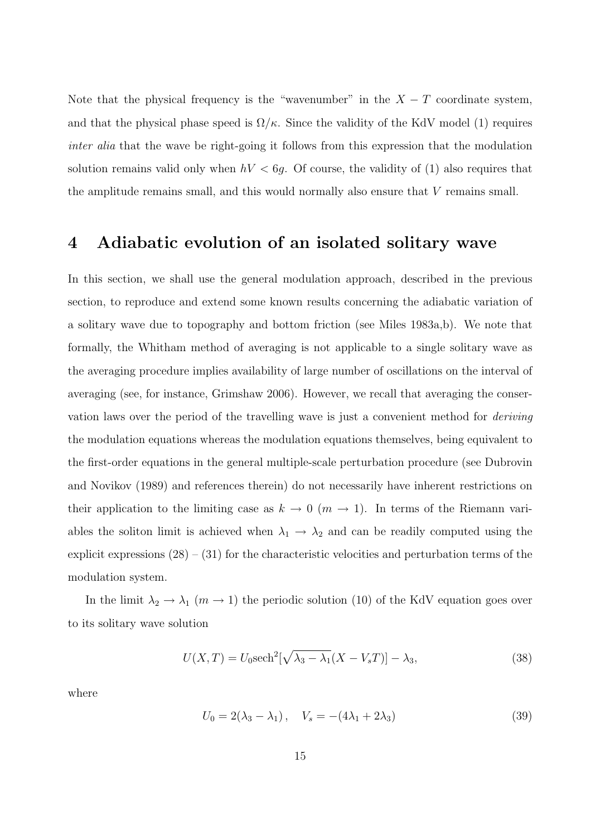Note that the physical frequency is the "wavenumber" in the  $X - T$  coordinate system, and that the physical phase speed is  $\Omega/\kappa$ . Since the validity of the KdV model (1) requires inter alia that the wave be right-going it follows from this expression that the modulation solution remains valid only when  $hV < 6g$ . Of course, the validity of (1) also requires that the amplitude remains small, and this would normally also ensure that V remains small.

### 4 Adiabatic evolution of an isolated solitary wave

In this section, we shall use the general modulation approach, described in the previous section, to reproduce and extend some known results concerning the adiabatic variation of a solitary wave due to topography and bottom friction (see Miles 1983a,b). We note that formally, the Whitham method of averaging is not applicable to a single solitary wave as the averaging procedure implies availability of large number of oscillations on the interval of averaging (see, for instance, Grimshaw 2006). However, we recall that averaging the conservation laws over the period of the travelling wave is just a convenient method for deriving the modulation equations whereas the modulation equations themselves, being equivalent to the first-order equations in the general multiple-scale perturbation procedure (see Dubrovin and Novikov (1989) and references therein) do not necessarily have inherent restrictions on their application to the limiting case as  $k \to 0$  ( $m \to 1$ ). In terms of the Riemann variables the soliton limit is achieved when  $\lambda_1 \rightarrow \lambda_2$  and can be readily computed using the explicit expressions  $(28) - (31)$  for the characteristic velocities and perturbation terms of the modulation system.

In the limit  $\lambda_2 \to \lambda_1$  ( $m \to 1$ ) the periodic solution (10) of the KdV equation goes over to its solitary wave solution

$$
U(X,T) = U_0 \text{sech}^2[\sqrt{\lambda_3 - \lambda_1}(X - V_s T)] - \lambda_3,
$$
\n(38)

where

$$
U_0 = 2(\lambda_3 - \lambda_1), \quad V_s = -(4\lambda_1 + 2\lambda_3) \tag{39}
$$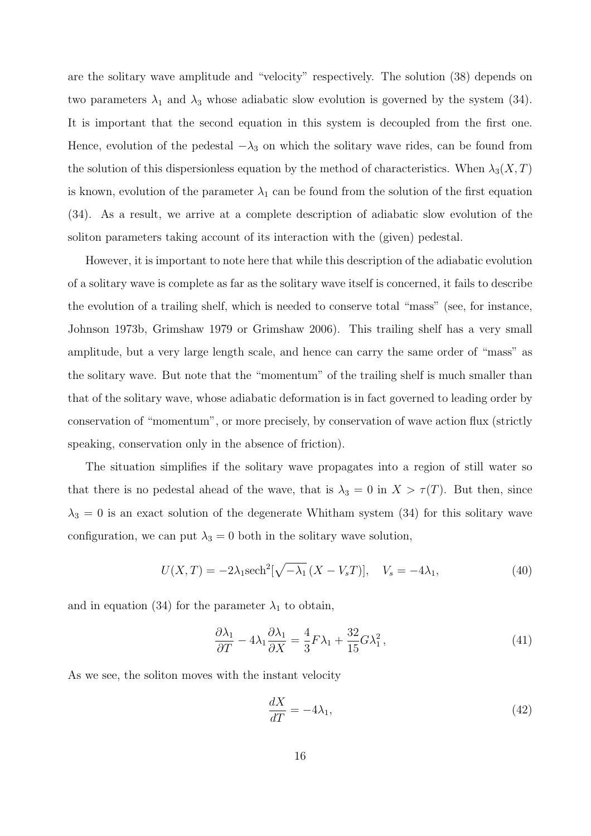are the solitary wave amplitude and "velocity" respectively. The solution (38) depends on two parameters  $\lambda_1$  and  $\lambda_3$  whose adiabatic slow evolution is governed by the system (34). It is important that the second equation in this system is decoupled from the first one. Hence, evolution of the pedestal  $-\lambda_3$  on which the solitary wave rides, can be found from the solution of this dispersionless equation by the method of characteristics. When  $\lambda_3(X,T)$ is known, evolution of the parameter  $\lambda_1$  can be found from the solution of the first equation (34). As a result, we arrive at a complete description of adiabatic slow evolution of the soliton parameters taking account of its interaction with the (given) pedestal.

However, it is important to note here that while this description of the adiabatic evolution of a solitary wave is complete as far as the solitary wave itself is concerned, it fails to describe the evolution of a trailing shelf, which is needed to conserve total "mass" (see, for instance, Johnson 1973b, Grimshaw 1979 or Grimshaw 2006). This trailing shelf has a very small amplitude, but a very large length scale, and hence can carry the same order of "mass" as the solitary wave. But note that the "momentum" of the trailing shelf is much smaller than that of the solitary wave, whose adiabatic deformation is in fact governed to leading order by conservation of "momentum", or more precisely, by conservation of wave action flux (strictly speaking, conservation only in the absence of friction).

The situation simplifies if the solitary wave propagates into a region of still water so that there is no pedestal ahead of the wave, that is  $\lambda_3 = 0$  in  $X > \tau(T)$ . But then, since  $\lambda_3 = 0$  is an exact solution of the degenerate Whitham system (34) for this solitary wave configuration, we can put  $\lambda_3 = 0$  both in the solitary wave solution,

$$
U(X,T) = -2\lambda_1 \mathrm{sech}^2[\sqrt{-\lambda_1} (X - V_s T)], \quad V_s = -4\lambda_1,\tag{40}
$$

and in equation (34) for the parameter  $\lambda_1$  to obtain,

$$
\frac{\partial \lambda_1}{\partial T} - 4\lambda_1 \frac{\partial \lambda_1}{\partial X} = \frac{4}{3} F \lambda_1 + \frac{32}{15} G \lambda_1^2, \tag{41}
$$

As we see, the soliton moves with the instant velocity

$$
\frac{dX}{dT} = -4\lambda_1,\tag{42}
$$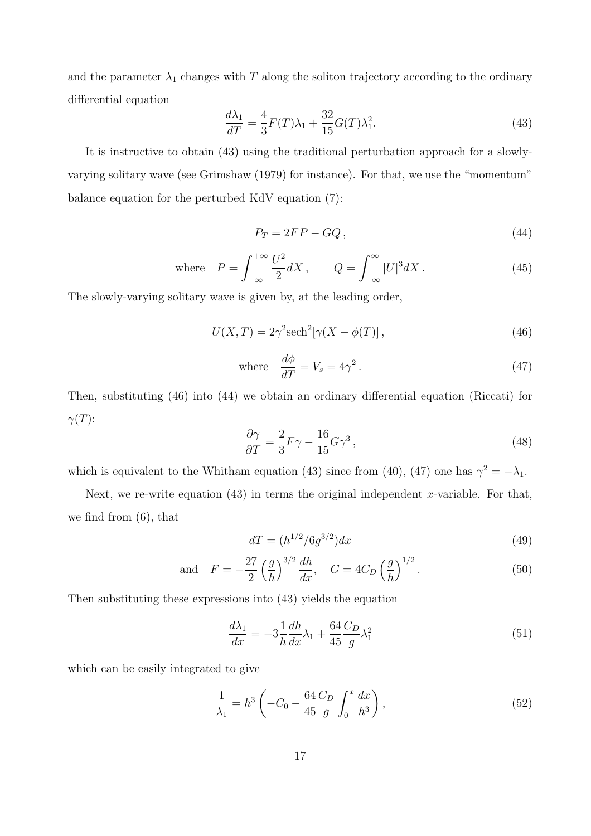and the parameter  $\lambda_1$  changes with T along the soliton trajectory according to the ordinary differential equation

$$
\frac{d\lambda_1}{dT} = \frac{4}{3}F(T)\lambda_1 + \frac{32}{15}G(T)\lambda_1^2.
$$
 (43)

It is instructive to obtain (43) using the traditional perturbation approach for a slowlyvarying solitary wave (see Grimshaw (1979) for instance). For that, we use the "momentum" balance equation for the perturbed KdV equation (7):

$$
P_T = 2FP - GQ, \t\t(44)
$$

where 
$$
P = \int_{-\infty}^{+\infty} \frac{U^2}{2} dX
$$
,  $Q = \int_{-\infty}^{\infty} |U|^3 dX$ . (45)

The slowly-varying solitary wave is given by, at the leading order,

$$
U(X,T) = 2\gamma^2 \mathrm{sech}^2[\gamma(X - \phi(T)], \qquad (46)
$$

where 
$$
\frac{d\phi}{dT} = V_s = 4\gamma^2.
$$
 (47)

Then, substituting (46) into (44) we obtain an ordinary differential equation (Riccati) for  $\gamma(T)$ :

$$
\frac{\partial \gamma}{\partial T} = \frac{2}{3} F \gamma - \frac{16}{15} G \gamma^3 \,,\tag{48}
$$

which is equivalent to the Whitham equation (43) since from (40), (47) one has  $\gamma^2 = -\lambda_1$ .

Next, we re-write equation  $(43)$  in terms the original independent x-variable. For that, we find from (6), that

$$
dT = (h^{1/2}/6g^{3/2})dx
$$
\n(49)

and 
$$
F = -\frac{27}{2} \left(\frac{g}{h}\right)^{3/2} \frac{dh}{dx}, \quad G = 4C_D \left(\frac{g}{h}\right)^{1/2}.
$$
 (50)

Then substituting these expressions into (43) yields the equation

$$
\frac{d\lambda_1}{dx} = -3\frac{1}{h}\frac{dh}{dx}\lambda_1 + \frac{64}{45}\frac{C_D}{g}\lambda_1^2\tag{51}
$$

which can be easily integrated to give

$$
\frac{1}{\lambda_1} = h^3 \left( -C_0 - \frac{64}{45} \frac{C_D}{g} \int_0^x \frac{dx}{h^3} \right),\tag{52}
$$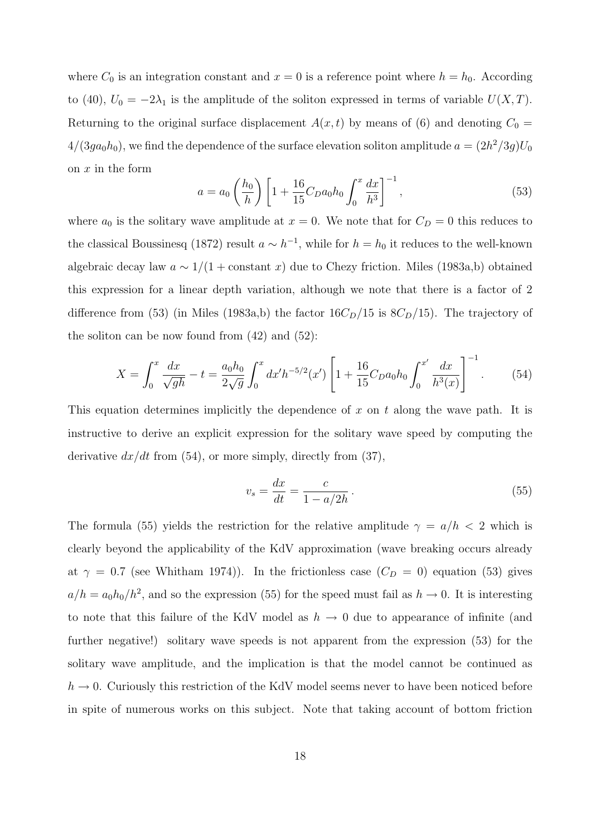where  $C_0$  is an integration constant and  $x = 0$  is a reference point where  $h = h_0$ . According to (40),  $U_0 = -2\lambda_1$  is the amplitude of the soliton expressed in terms of variable  $U(X,T)$ . Returning to the original surface displacement  $A(x, t)$  by means of (6) and denoting  $C_0$  =  $4/(3ga_0h_0)$ , we find the dependence of the surface elevation soliton amplitude  $a = (2h^2/3g)U_0$ on  $x$  in the form  $\overline{a}$  $\sqrt{2}$ 

$$
a = a_0 \left(\frac{h_0}{h}\right) \left[1 + \frac{16}{15} C_D a_0 h_0 \int_0^x \frac{dx}{h^3}\right]^{-1},\tag{53}
$$

where  $a_0$  is the solitary wave amplitude at  $x = 0$ . We note that for  $C_D = 0$  this reduces to the classical Boussinesq (1872) result  $a \sim h^{-1}$ , while for  $h = h_0$  it reduces to the well-known algebraic decay law  $a \sim 1/(1 + \text{constant } x)$  due to Chezy friction. Miles (1983a,b) obtained this expression for a linear depth variation, although we note that there is a factor of 2 difference from (53) (in Miles (1983a,b) the factor  $16C<sub>D</sub>/15$  is  $8C<sub>D</sub>/15$ ). The trajectory of the soliton can be now found from  $(42)$  and  $(52)$ :

$$
X = \int_0^x \frac{dx}{\sqrt{gh}} - t = \frac{a_0 h_0}{2\sqrt{g}} \int_0^x dx'h^{-5/2}(x') \left[ 1 + \frac{16}{15} C_D a_0 h_0 \int_0^{x'} \frac{dx}{h^3(x)} \right]^{-1}.
$$
 (54)

This equation determines implicitly the dependence of x on t along the wave path. It is instructive to derive an explicit expression for the solitary wave speed by computing the derivative  $dx/dt$  from (54), or more simply, directly from (37),

$$
v_s = \frac{dx}{dt} = \frac{c}{1 - a/2h}.
$$
\n<sup>(55)</sup>

The formula (55) yields the restriction for the relative amplitude  $\gamma = a/h < 2$  which is clearly beyond the applicability of the KdV approximation (wave breaking occurs already at  $\gamma = 0.7$  (see Whitham 1974)). In the frictionless case  $(C_D = 0)$  equation (53) gives  $a/h = a_0 h_0/h^2$ , and so the expression (55) for the speed must fail as  $h \to 0$ . It is interesting to note that this failure of the KdV model as  $h \to 0$  due to appearance of infinite (and further negative!) solitary wave speeds is not apparent from the expression (53) for the solitary wave amplitude, and the implication is that the model cannot be continued as  $h \to 0$ . Curiously this restriction of the KdV model seems never to have been noticed before in spite of numerous works on this subject. Note that taking account of bottom friction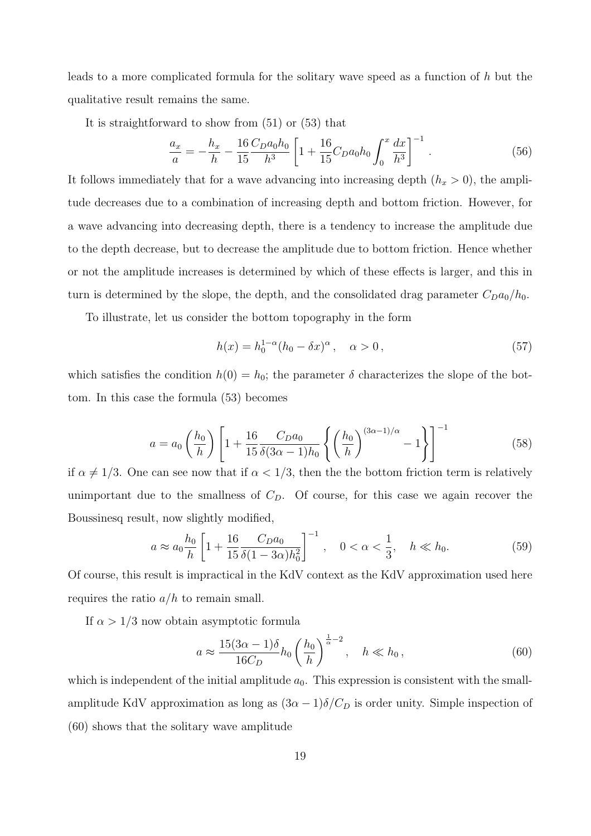leads to a more complicated formula for the solitary wave speed as a function of h but the qualitative result remains the same.

It is straightforward to show from (51) or (53) that

$$
\frac{a_x}{a} = -\frac{h_x}{h} - \frac{16}{15} \frac{C_D a_0 h_0}{h^3} \left[ 1 + \frac{16}{15} C_D a_0 h_0 \int_0^x \frac{dx}{h^3} \right]^{-1} . \tag{56}
$$

It follows immediately that for a wave advancing into increasing depth  $(h_x > 0)$ , the amplitude decreases due to a combination of increasing depth and bottom friction. However, for a wave advancing into decreasing depth, there is a tendency to increase the amplitude due to the depth decrease, but to decrease the amplitude due to bottom friction. Hence whether or not the amplitude increases is determined by which of these effects is larger, and this in turn is determined by the slope, the depth, and the consolidated drag parameter  $C_D a_0/h_0$ .

To illustrate, let us consider the bottom topography in the form

$$
h(x) = h_0^{1-\alpha} (h_0 - \delta x)^{\alpha}, \quad \alpha > 0,
$$
\n
$$
(57)
$$

which satisfies the condition  $h(0) = h_0$ ; the parameter  $\delta$  characterizes the slope of the bottom. In this case the formula (53) becomes

$$
a = a_0 \left(\frac{h_0}{h}\right) \left[1 + \frac{16}{15} \frac{C_D a_0}{\delta (3\alpha - 1) h_0} \left\{ \left(\frac{h_0}{h}\right)^{(3\alpha - 1)/\alpha} - 1 \right\} \right]^{-1}
$$
(58)

if  $\alpha \neq 1/3$ . One can see now that if  $\alpha < 1/3$ , then the the bottom friction term is relatively unimportant due to the smallness of  $C<sub>D</sub>$ . Of course, for this case we again recover the Boussinesq result, now slightly modified,

$$
a \approx a_0 \frac{h_0}{h} \left[ 1 + \frac{16}{15} \frac{C_D a_0}{\delta (1 - 3\alpha) h_0^2} \right]^{-1}, \quad 0 < \alpha < \frac{1}{3}, \quad h \ll h_0. \tag{59}
$$

Of course, this result is impractical in the KdV context as the KdV approximation used here requires the ratio  $a/h$  to remain small.

If  $\alpha > 1/3$  now obtain asymptotic formula

$$
a \approx \frac{15(3\alpha - 1)\delta}{16C_D} h_0 \left(\frac{h_0}{h}\right)^{\frac{1}{\alpha} - 2}, \quad h \ll h_0,
$$
\n
$$
(60)
$$

which is independent of the initial amplitude  $a_0$ . This expression is consistent with the smallamplitude KdV approximation as long as  $(3\alpha - 1)\delta/C_D$  is order unity. Simple inspection of (60) shows that the solitary wave amplitude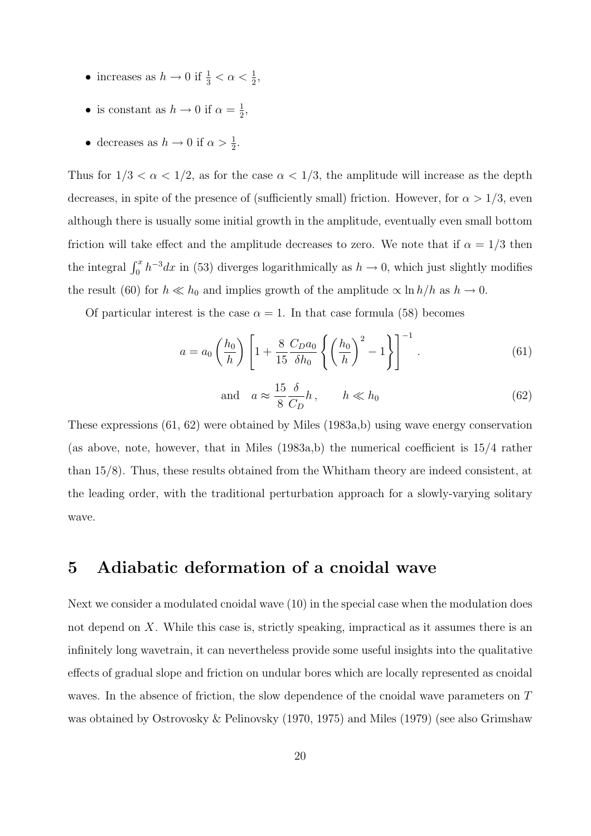- increases as  $h \to 0$  if  $\frac{1}{3} < \alpha < \frac{1}{2}$ ,
- is constant as  $h \to 0$  if  $\alpha = \frac{1}{2}$  $\frac{1}{2}$ ,
- decreases as  $h \to 0$  if  $\alpha > \frac{1}{2}$ .

Thus for  $1/3 < \alpha < 1/2$ , as for the case  $\alpha < 1/3$ , the amplitude will increase as the depth decreases, in spite of the presence of (sufficiently small) friction. However, for  $\alpha > 1/3$ , even although there is usually some initial growth in the amplitude, eventually even small bottom friction will take effect and the amplitude decreases to zero. We note that if  $\alpha = 1/3$  then the integral  $\int_0^x h^{-3} dx$  in (53) diverges logarithmically as  $h \to 0$ , which just slightly modifies the result (60) for  $h \ll h_0$  and implies growth of the amplitude  $\propto \ln h/h$  as  $h \to 0$ .

Of particular interest is the case  $\alpha = 1$ . In that case formula (58) becomes

$$
a = a_0 \left(\frac{h_0}{h}\right) \left[1 + \frac{8}{15} \frac{C_D a_0}{\delta h_0} \left\{ \left(\frac{h_0}{h}\right)^2 - 1 \right\} \right]^{-1}.
$$
 (61)

and 
$$
a \approx \frac{15}{8} \frac{\delta}{C_D} h
$$
,  $h \ll h_0$  (62)

These expressions (61, 62) were obtained by Miles (1983a,b) using wave energy conservation (as above, note, however, that in Miles  $(1983a,b)$ ) the numerical coefficient is  $15/4$  rather than 15/8). Thus, these results obtained from the Whitham theory are indeed consistent, at the leading order, with the traditional perturbation approach for a slowly-varying solitary wave.

## 5 Adiabatic deformation of a cnoidal wave

Next we consider a modulated cnoidal wave (10) in the special case when the modulation does not depend on X. While this case is, strictly speaking, impractical as it assumes there is an infinitely long wavetrain, it can nevertheless provide some useful insights into the qualitative effects of gradual slope and friction on undular bores which are locally represented as cnoidal waves. In the absence of friction, the slow dependence of the cnoidal wave parameters on T was obtained by Ostrovosky & Pelinovsky (1970, 1975) and Miles (1979) (see also Grimshaw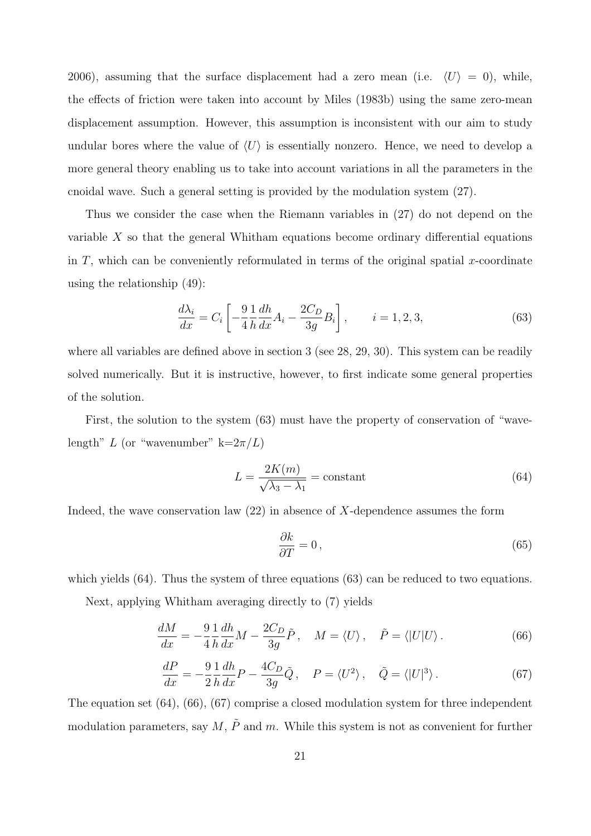2006), assuming that the surface displacement had a zero mean (i.e.  $\langle U \rangle = 0$ ), while, the effects of friction were taken into account by Miles (1983b) using the same zero-mean displacement assumption. However, this assumption is inconsistent with our aim to study undular bores where the value of  $\langle U \rangle$  is essentially nonzero. Hence, we need to develop a more general theory enabling us to take into account variations in all the parameters in the cnoidal wave. Such a general setting is provided by the modulation system (27).

Thus we consider the case when the Riemann variables in (27) do not depend on the variable X so that the general Whitham equations become ordinary differential equations in  $T$ , which can be conveniently reformulated in terms of the original spatial x-coordinate using the relationship (49):

$$
\frac{d\lambda_i}{dx} = C_i \left[ -\frac{9}{4} \frac{1}{h} \frac{dh}{dx} A_i - \frac{2C_D}{3g} B_i \right], \qquad i = 1, 2, 3,
$$
\n
$$
(63)
$$

where all variables are defined above in section 3 (see 28, 29, 30). This system can be readily solved numerically. But it is instructive, however, to first indicate some general properties of the solution.

First, the solution to the system (63) must have the property of conservation of "wavelength" L (or "wavenumber" k= $2\pi/L$ )

$$
L = \frac{2K(m)}{\sqrt{\lambda_3 - \lambda_1}} = \text{constant} \tag{64}
$$

Indeed, the wave conservation law  $(22)$  in absence of X-dependence assumes the form

$$
\frac{\partial k}{\partial T} = 0\,,\tag{65}
$$

which yields (64). Thus the system of three equations (63) can be reduced to two equations.

Next, applying Whitham averaging directly to (7) yields

$$
\frac{dM}{dx} = -\frac{9}{4} \frac{1}{h} \frac{dh}{dx} M - \frac{2C_D}{3g} \tilde{P}, \quad M = \langle U \rangle, \quad \tilde{P} = \langle |U|U \rangle. \tag{66}
$$

$$
\frac{dP}{dx} = -\frac{9}{2} \frac{1}{h} \frac{dh}{dx} P - \frac{4C_D}{3g} \tilde{Q}, \quad P = \langle U^2 \rangle, \quad \tilde{Q} = \langle |U|^3 \rangle. \tag{67}
$$

The equation set (64), (66), (67) comprise a closed modulation system for three independent modulation parameters, say  $M$ ,  $\tilde{P}$  and m. While this system is not as convenient for further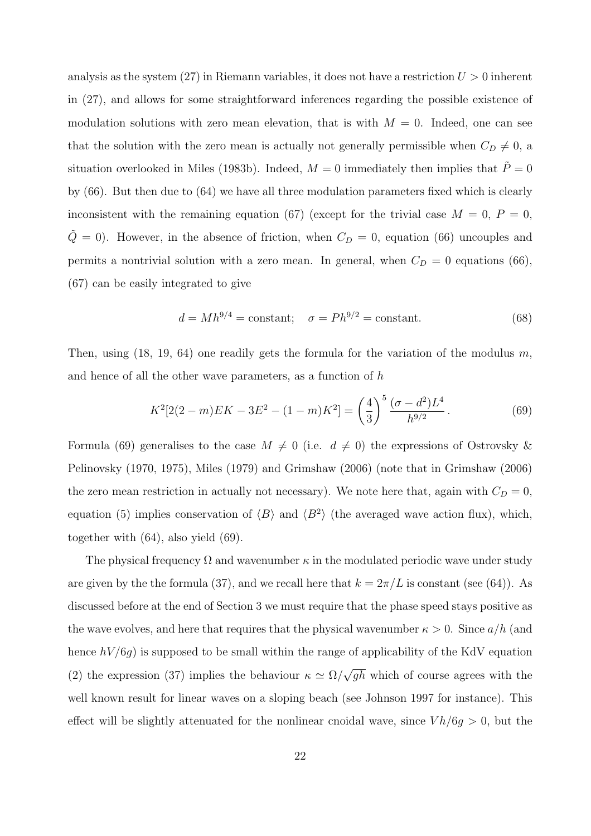analysis as the system  $(27)$  in Riemann variables, it does not have a restriction  $U > 0$  inherent in (27), and allows for some straightforward inferences regarding the possible existence of modulation solutions with zero mean elevation, that is with  $M = 0$ . Indeed, one can see that the solution with the zero mean is actually not generally permissible when  $C_D \neq 0$ , a situation overlooked in Miles (1983b). Indeed,  $M = 0$  immediately then implies that  $\ddot{P} = 0$ by (66). But then due to (64) we have all three modulation parameters fixed which is clearly inconsistent with the remaining equation (67) (except for the trivial case  $M = 0$ ,  $P = 0$ ,  $\tilde{Q} = 0$ . However, in the absence of friction, when  $C_D = 0$ , equation (66) uncouples and permits a nontrivial solution with a zero mean. In general, when  $C_D = 0$  equations (66), (67) can be easily integrated to give

$$
d = Mh^{9/4} = \text{constant}; \quad \sigma = Ph^{9/2} = \text{constant}.
$$
 (68)

Then, using  $(18, 19, 64)$  one readily gets the formula for the variation of the modulus m, and hence of all the other wave parameters, as a function of h

$$
K^{2}[2(2-m)EK - 3E^{2} - (1-m)K^{2}] = \left(\frac{4}{3}\right)^{5} \frac{(\sigma - d^{2})L^{4}}{h^{9/2}}.
$$
 (69)

Formula (69) generalises to the case  $M \neq 0$  (i.e.  $d \neq 0$ ) the expressions of Ostrovsky & Pelinovsky (1970, 1975), Miles (1979) and Grimshaw (2006) (note that in Grimshaw (2006) the zero mean restriction in actually not necessary). We note here that, again with  $C_D = 0$ , equation (5) implies conservation of  $\langle B \rangle$  and  $\langle B^2 \rangle$  (the averaged wave action flux), which, together with (64), also yield (69).

The physical frequency  $\Omega$  and wavenumber  $\kappa$  in the modulated periodic wave under study are given by the the formula (37), and we recall here that  $k = 2\pi/L$  is constant (see (64)). As discussed before at the end of Section 3 we must require that the phase speed stays positive as the wave evolves, and here that requires that the physical wavenumber  $\kappa > 0$ . Since  $a/h$  (and hence  $hV/6g$ ) is supposed to be small within the range of applicability of the KdV equation (2) the expression (37) implies the behaviour  $\kappa \simeq \Omega/$ √  $\overline{gh}$  which of course agrees with the well known result for linear waves on a sloping beach (see Johnson 1997 for instance). This effect will be slightly attenuated for the nonlinear cnoidal wave, since  $V h/6g > 0$ , but the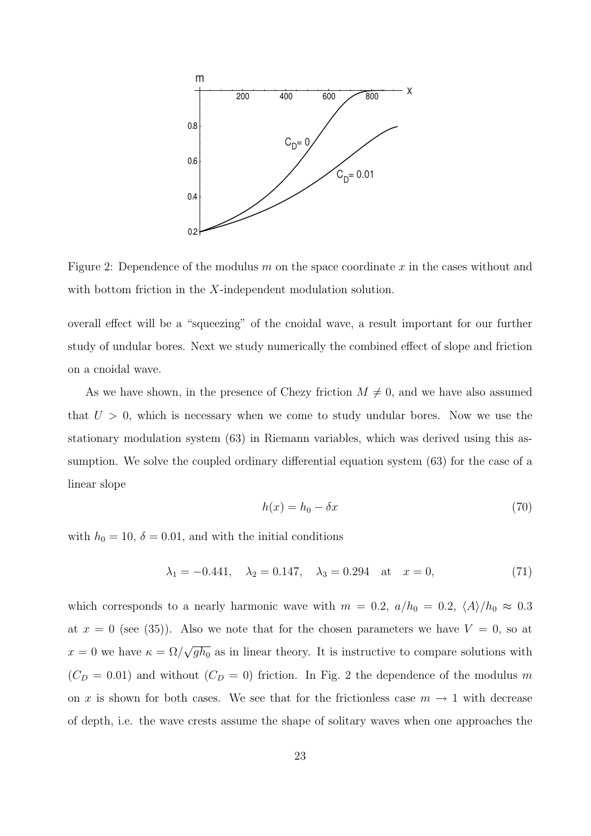

Figure 2: Dependence of the modulus  $m$  on the space coordinate  $x$  in the cases without and with bottom friction in the X-independent modulation solution.

overall effect will be a "squeezing" of the cnoidal wave, a result important for our further study of undular bores. Next we study numerically the combined effect of slope and friction on a cnoidal wave.

As we have shown, in the presence of Chezy friction  $M \neq 0$ , and we have also assumed that  $U > 0$ , which is necessary when we come to study undular bores. Now we use the stationary modulation system (63) in Riemann variables, which was derived using this assumption. We solve the coupled ordinary differential equation system (63) for the case of a linear slope

$$
h(x) = h_0 - \delta x \tag{70}
$$

with  $h_0 = 10$ ,  $\delta = 0.01$ , and with the initial conditions

$$
\lambda_1 = -0.441, \quad \lambda_2 = 0.147, \quad \lambda_3 = 0.294 \quad \text{at} \quad x = 0,
$$
\n(71)

which corresponds to a nearly harmonic wave with  $m = 0.2$ ,  $a/h_0 = 0.2$ ,  $\langle A \rangle / h_0 \approx 0.3$ at  $x = 0$  (see (35)). Also we note that for the chosen parameters we have  $V = 0$ , so at  $x = 0$  we have  $\kappa = \Omega/$ √  $\overline{gh_0}$  as in linear theory. It is instructive to compare solutions with  $(C_D = 0.01)$  and without  $(C_D = 0)$  friction. In Fig. 2 the dependence of the modulus m on x is shown for both cases. We see that for the frictionless case  $m \to 1$  with decrease of depth, i.e. the wave crests assume the shape of solitary waves when one approaches the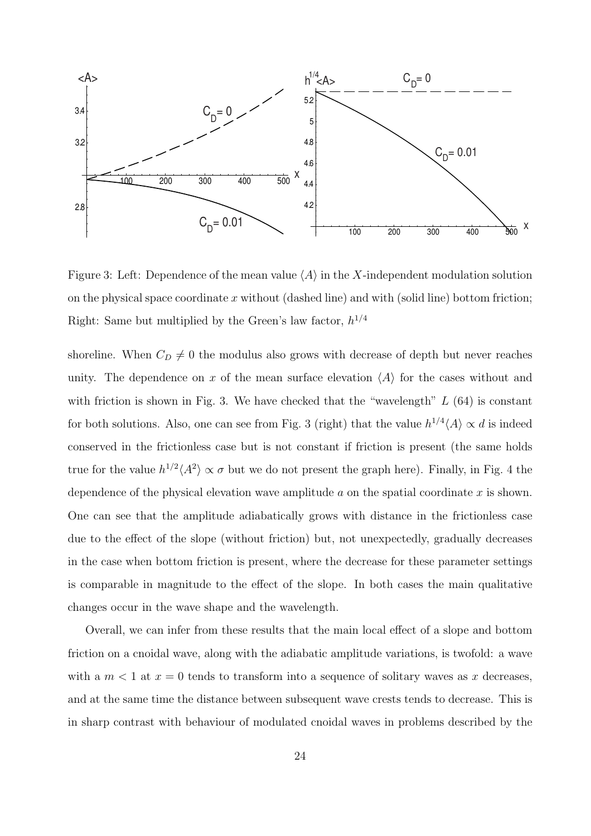

Figure 3: Left: Dependence of the mean value  $\langle A \rangle$  in the X-independent modulation solution on the physical space coordinate x without (dashed line) and with (solid line) bottom friction; Right: Same but multiplied by the Green's law factor,  $h^{1/4}$ 

shoreline. When  $C_D \neq 0$  the modulus also grows with decrease of depth but never reaches unity. The dependence on x of the mean surface elevation  $\langle A \rangle$  for the cases without and with friction is shown in Fig. 3. We have checked that the "wavelength"  $L(64)$  is constant for both solutions. Also, one can see from Fig. 3 (right) that the value  $h^{1/4}\langle A\rangle \propto d$  is indeed conserved in the frictionless case but is not constant if friction is present (the same holds true for the value  $h^{1/2}\langle A^2 \rangle \propto \sigma$  but we do not present the graph here). Finally, in Fig. 4 the dependence of the physical elevation wave amplitude  $a$  on the spatial coordinate  $x$  is shown. One can see that the amplitude adiabatically grows with distance in the frictionless case due to the effect of the slope (without friction) but, not unexpectedly, gradually decreases in the case when bottom friction is present, where the decrease for these parameter settings is comparable in magnitude to the effect of the slope. In both cases the main qualitative changes occur in the wave shape and the wavelength.

Overall, we can infer from these results that the main local effect of a slope and bottom friction on a cnoidal wave, along with the adiabatic amplitude variations, is twofold: a wave with a  $m < 1$  at  $x = 0$  tends to transform into a sequence of solitary waves as x decreases, and at the same time the distance between subsequent wave crests tends to decrease. This is in sharp contrast with behaviour of modulated cnoidal waves in problems described by the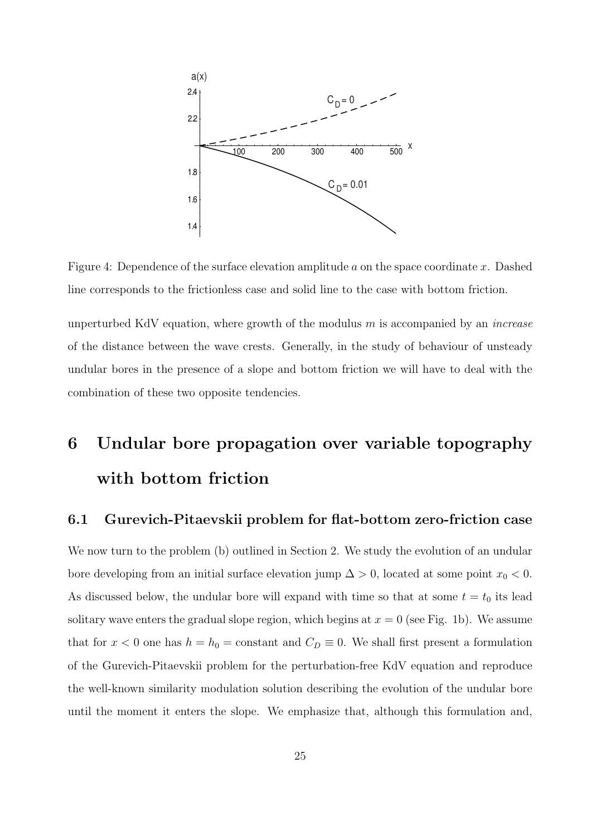

Figure 4: Dependence of the surface elevation amplitude a on the space coordinate x. Dashed line corresponds to the frictionless case and solid line to the case with bottom friction.

unperturbed KdV equation, where growth of the modulus  $m$  is accompanied by an *increase* of the distance between the wave crests. Generally, in the study of behaviour of unsteady undular bores in the presence of a slope and bottom friction we will have to deal with the combination of these two opposite tendencies.

## 6 Undular bore propagation over variable topography with bottom friction

#### 6.1 Gurevich-Pitaevskii problem for flat-bottom zero-friction case

We now turn to the problem (b) outlined in Section 2. We study the evolution of an undular bore developing from an initial surface elevation jump  $\Delta > 0$ , located at some point  $x_0 < 0$ . As discussed below, the undular bore will expand with time so that at some  $t = t_0$  its lead solitary wave enters the gradual slope region, which begins at  $x = 0$  (see Fig. 1b). We assume that for  $x < 0$  one has  $h = h_0 = \text{constant}$  and  $C_D \equiv 0$ . We shall first present a formulation of the Gurevich-Pitaevskii problem for the perturbation-free KdV equation and reproduce the well-known similarity modulation solution describing the evolution of the undular bore until the moment it enters the slope. We emphasize that, although this formulation and,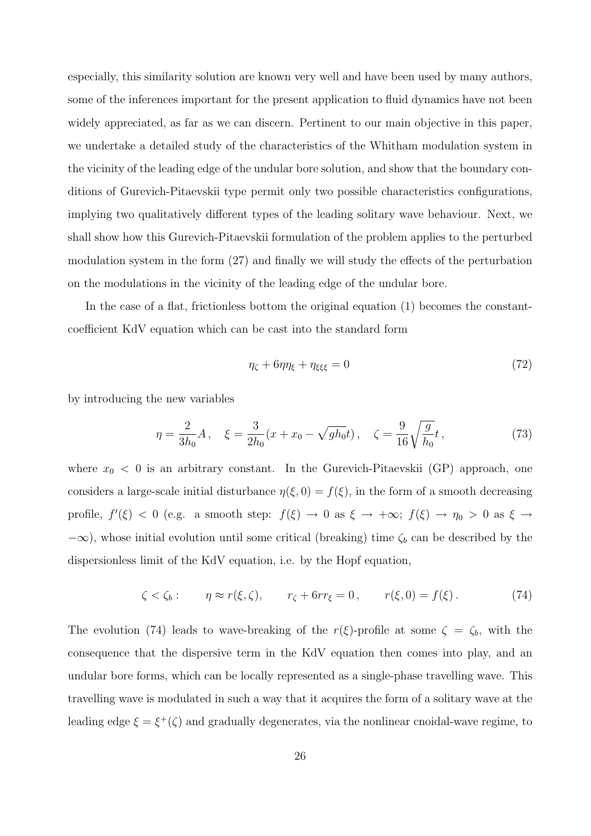especially, this similarity solution are known very well and have been used by many authors, some of the inferences important for the present application to fluid dynamics have not been widely appreciated, as far as we can discern. Pertinent to our main objective in this paper, we undertake a detailed study of the characteristics of the Whitham modulation system in the vicinity of the leading edge of the undular bore solution, and show that the boundary conditions of Gurevich-Pitaevskii type permit only two possible characteristics configurations, implying two qualitatively different types of the leading solitary wave behaviour. Next, we shall show how this Gurevich-Pitaevskii formulation of the problem applies to the perturbed modulation system in the form (27) and finally we will study the effects of the perturbation on the modulations in the vicinity of the leading edge of the undular bore.

In the case of a flat, frictionless bottom the original equation (1) becomes the constantcoefficient KdV equation which can be cast into the standard form

$$
\eta_{\zeta} + 6\eta \eta_{\xi} + \eta_{\xi\xi\xi} = 0 \tag{72}
$$

by introducing the new variables

$$
\eta = \frac{2}{3h_0}A, \quad \xi = \frac{3}{2h_0}(x + x_0 - \sqrt{gh_0}t), \quad \zeta = \frac{9}{16}\sqrt{\frac{g}{h_0}}t,\tag{73}
$$

where  $x_0 < 0$  is an arbitrary constant. In the Gurevich-Pitaevskii (GP) approach, one considers a large-scale initial disturbance  $\eta(\xi, 0) = f(\xi)$ , in the form of a smooth decreasing profile,  $f'(\xi) < 0$  (e.g. a smooth step:  $f(\xi) \to 0$  as  $\xi \to +\infty$ ;  $f(\xi) \to \eta_0 > 0$  as  $\xi \to$  $-\infty$ ), whose initial evolution until some critical (breaking) time  $\zeta_b$  can be described by the dispersionless limit of the KdV equation, i.e. by the Hopf equation,

$$
\zeta < \zeta_b: \qquad \eta \approx r(\xi, \zeta), \qquad r_\zeta + 6rr_\xi = 0, \qquad r(\xi, 0) = f(\xi). \tag{74}
$$

The evolution (74) leads to wave-breaking of the  $r(\xi)$ -profile at some  $\zeta = \zeta_b$ , with the consequence that the dispersive term in the KdV equation then comes into play, and an undular bore forms, which can be locally represented as a single-phase travelling wave. This travelling wave is modulated in such a way that it acquires the form of a solitary wave at the leading edge  $\xi = \xi^+(\zeta)$  and gradually degenerates, via the nonlinear cnoidal-wave regime, to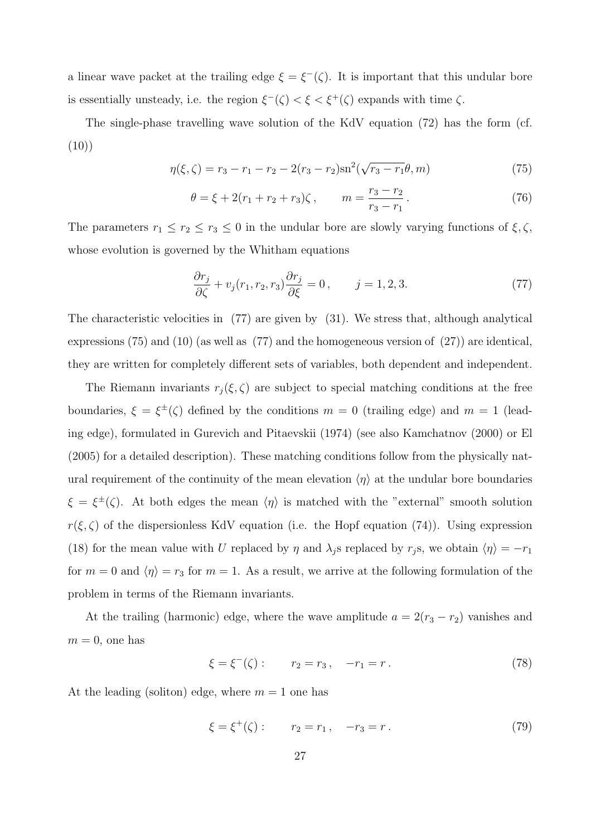a linear wave packet at the trailing edge  $\xi = \xi^{-1}(\zeta)$ . It is important that this undular bore is essentially unsteady, i.e. the region  $\xi^{-}(\zeta) < \xi < \xi^{+}(\zeta)$  expands with time  $\zeta$ .

The single-phase travelling wave solution of the KdV equation (72) has the form (cf.  $(10)$ 

$$
\eta(\xi,\zeta) = r_3 - r_1 - r_2 - 2(r_3 - r_2)\mathrm{sn}^2(\sqrt{r_3 - r_1}\theta, m) \tag{75}
$$

$$
\theta = \xi + 2(r_1 + r_2 + r_3)\zeta, \qquad m = \frac{r_3 - r_2}{r_3 - r_1}.
$$
 (76)

The parameters  $r_1 \le r_2 \le r_3 \le 0$  in the undular bore are slowly varying functions of  $\xi, \zeta$ , whose evolution is governed by the Whitham equations

$$
\frac{\partial r_j}{\partial \zeta} + v_j(r_1, r_2, r_3) \frac{\partial r_j}{\partial \xi} = 0, \qquad j = 1, 2, 3.
$$
 (77)

The characteristic velocities in (77) are given by (31). We stress that, although analytical expressions (75) and (10) (as well as (77) and the homogeneous version of (27)) are identical, they are written for completely different sets of variables, both dependent and independent.

The Riemann invariants  $r_j(\xi, \zeta)$  are subject to special matching conditions at the free boundaries,  $\xi = \xi^{\pm}(\zeta)$  defined by the conditions  $m = 0$  (trailing edge) and  $m = 1$  (leading edge), formulated in Gurevich and Pitaevskii (1974) (see also Kamchatnov (2000) or El (2005) for a detailed description). These matching conditions follow from the physically natural requirement of the continuity of the mean elevation  $\langle \eta \rangle$  at the undular bore boundaries  $\xi = \xi^{\pm}(\zeta)$ . At both edges the mean  $\langle \eta \rangle$  is matched with the "external" smooth solution  $r(\xi, \zeta)$  of the dispersionless KdV equation (i.e. the Hopf equation (74)). Using expression (18) for the mean value with U replaced by  $\eta$  and  $\lambda_j$ s replaced by  $r_j$ s, we obtain  $\langle \eta \rangle = -r_1$ for  $m = 0$  and  $\langle \eta \rangle = r_3$  for  $m = 1$ . As a result, we arrive at the following formulation of the problem in terms of the Riemann invariants.

At the trailing (harmonic) edge, where the wave amplitude  $a = 2(r_3 - r_2)$  vanishes and  $m = 0$ , one has

$$
\xi = \xi^-(\zeta) : \qquad r_2 = r_3, \quad -r_1 = r. \tag{78}
$$

At the leading (soliton) edge, where  $m = 1$  one has

$$
\xi = \xi^+(\zeta) : \qquad r_2 = r_1, \quad -r_3 = r. \tag{79}
$$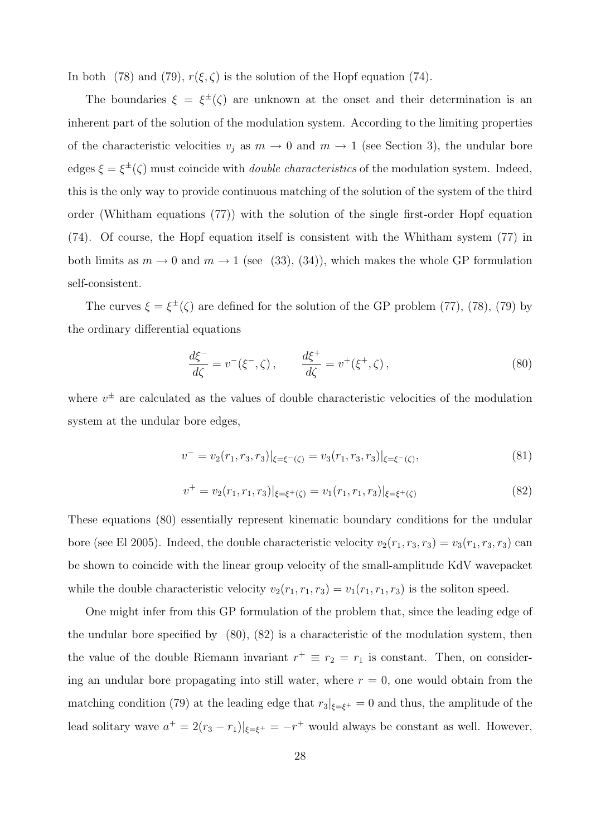In both (78) and (79),  $r(\xi, \zeta)$  is the solution of the Hopf equation (74).

The boundaries  $\xi = \xi^{\pm}(\zeta)$  are unknown at the onset and their determination is an inherent part of the solution of the modulation system. According to the limiting properties of the characteristic velocities  $v_i$  as  $m \to 0$  and  $m \to 1$  (see Section 3), the undular bore edges  $\xi = \xi^{\pm}(\zeta)$  must coincide with *double characteristics* of the modulation system. Indeed, this is the only way to provide continuous matching of the solution of the system of the third order (Whitham equations (77)) with the solution of the single first-order Hopf equation (74). Of course, the Hopf equation itself is consistent with the Whitham system (77) in both limits as  $m \to 0$  and  $m \to 1$  (see (33), (34)), which makes the whole GP formulation self-consistent.

The curves  $\xi = \xi^{\pm}(\zeta)$  are defined for the solution of the GP problem (77), (78), (79) by the ordinary differential equations

$$
\frac{d\xi^{-}}{d\zeta} = v^{-}(\xi^{-}, \zeta), \qquad \frac{d\xi^{+}}{d\zeta} = v^{+}(\xi^{+}, \zeta), \qquad (80)
$$

where  $v^{\pm}$  are calculated as the values of double characteristic velocities of the modulation system at the undular bore edges,

$$
v^- = v_2(r_1, r_3, r_3)|_{\xi = \xi^-(\zeta)} = v_3(r_1, r_3, r_3)|_{\xi = \xi^-(\zeta)},
$$
\n(81)

$$
v^{+} = v_{2}(r_{1}, r_{1}, r_{3})|_{\xi = \xi^{+}(\zeta)} = v_{1}(r_{1}, r_{1}, r_{3})|_{\xi = \xi^{+}(\zeta)}
$$
\n(82)

These equations (80) essentially represent kinematic boundary conditions for the undular bore (see El 2005). Indeed, the double characteristic velocity  $v_2(r_1, r_3, r_3) = v_3(r_1, r_3, r_3)$  can be shown to coincide with the linear group velocity of the small-amplitude KdV wavepacket while the double characteristic velocity  $v_2(r_1, r_1, r_3) = v_1(r_1, r_1, r_3)$  is the soliton speed.

One might infer from this GP formulation of the problem that, since the leading edge of the undular bore specified by (80), (82) is a characteristic of the modulation system, then the value of the double Riemann invariant  $r^+ \equiv r_2 = r_1$  is constant. Then, on considering an undular bore propagating into still water, where  $r = 0$ , one would obtain from the matching condition (79) at the leading edge that  $r_3|_{\xi=\xi^+}=0$  and thus, the amplitude of the lead solitary wave  $a^+ = 2(r_3 - r_1)|_{\xi = \xi^+} = -r^+$  would always be constant as well. However,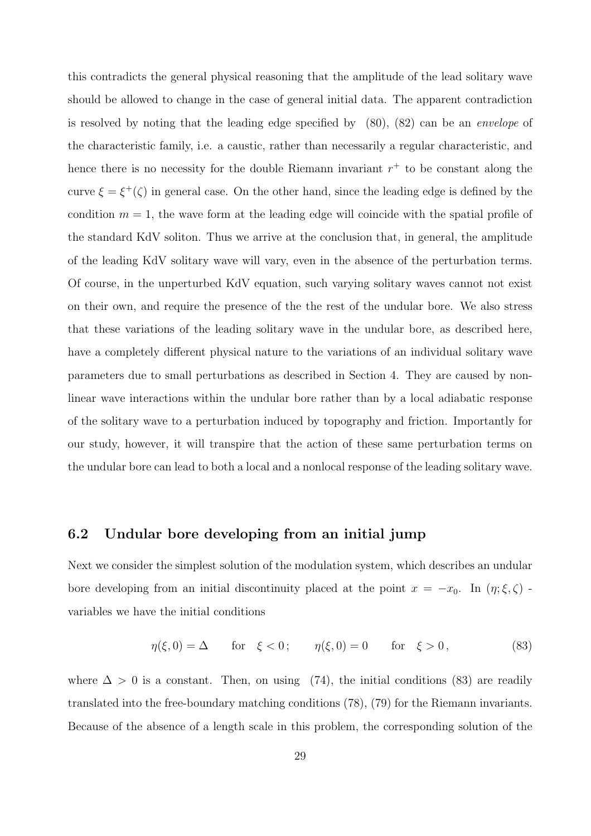this contradicts the general physical reasoning that the amplitude of the lead solitary wave should be allowed to change in the case of general initial data. The apparent contradiction is resolved by noting that the leading edge specified by (80), (82) can be an envelope of the characteristic family, i.e. a caustic, rather than necessarily a regular characteristic, and hence there is no necessity for the double Riemann invariant  $r^+$  to be constant along the curve  $\xi = \xi^+(\zeta)$  in general case. On the other hand, since the leading edge is defined by the condition  $m = 1$ , the wave form at the leading edge will coincide with the spatial profile of the standard KdV soliton. Thus we arrive at the conclusion that, in general, the amplitude of the leading KdV solitary wave will vary, even in the absence of the perturbation terms. Of course, in the unperturbed KdV equation, such varying solitary waves cannot not exist on their own, and require the presence of the the rest of the undular bore. We also stress that these variations of the leading solitary wave in the undular bore, as described here, have a completely different physical nature to the variations of an individual solitary wave parameters due to small perturbations as described in Section 4. They are caused by nonlinear wave interactions within the undular bore rather than by a local adiabatic response of the solitary wave to a perturbation induced by topography and friction. Importantly for our study, however, it will transpire that the action of these same perturbation terms on the undular bore can lead to both a local and a nonlocal response of the leading solitary wave.

#### 6.2 Undular bore developing from an initial jump

Next we consider the simplest solution of the modulation system, which describes an undular bore developing from an initial discontinuity placed at the point  $x = -x_0$ . In  $(\eta; \xi, \zeta)$  variables we have the initial conditions

$$
\eta(\xi,0) = \Delta
$$
 for  $\xi < 0$ ;  $\eta(\xi,0) = 0$  for  $\xi > 0$ , (83)

where  $\Delta > 0$  is a constant. Then, on using (74), the initial conditions (83) are readily translated into the free-boundary matching conditions (78), (79) for the Riemann invariants. Because of the absence of a length scale in this problem, the corresponding solution of the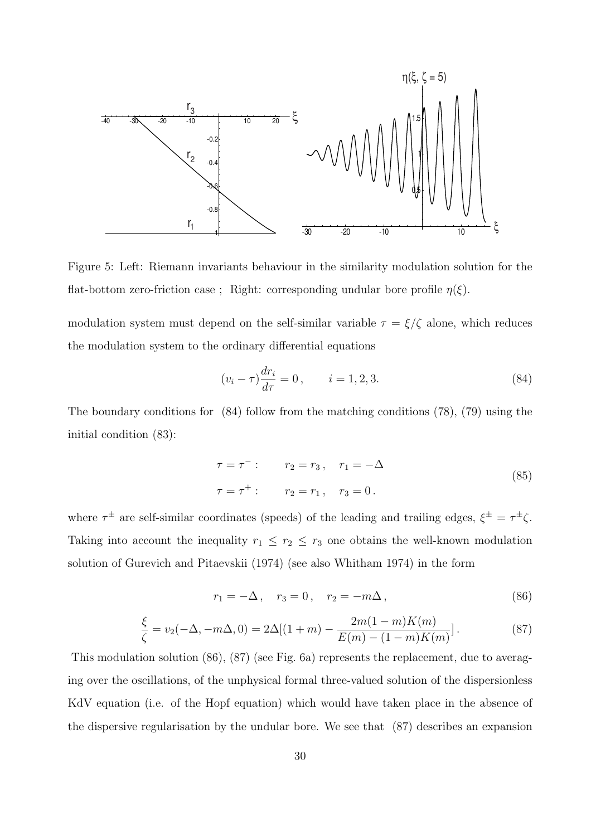

Figure 5: Left: Riemann invariants behaviour in the similarity modulation solution for the flat-bottom zero-friction case ; Right: corresponding undular bore profile  $\eta(\xi)$ .

modulation system must depend on the self-similar variable  $\tau = \xi/\zeta$  alone, which reduces the modulation system to the ordinary differential equations

$$
(v_i - \tau) \frac{dr_i}{d\tau} = 0, \qquad i = 1, 2, 3. \tag{84}
$$

The boundary conditions for (84) follow from the matching conditions (78), (79) using the initial condition (83):

$$
\tau = \tau^{-} : \qquad r_2 = r_3, \quad r_1 = -\Delta
$$
  
\n
$$
\tau = \tau^{+} : \qquad r_2 = r_1, \quad r_3 = 0.
$$
\n(85)

where  $\tau^{\pm}$  are self-similar coordinates (speeds) of the leading and trailing edges,  $\xi^{\pm} = \tau^{\pm}\zeta$ . Taking into account the inequality  $r_1 \leq r_2 \leq r_3$  one obtains the well-known modulation solution of Gurevich and Pitaevskii (1974) (see also Whitham 1974) in the form

$$
r_1 = -\Delta \,, \quad r_3 = 0 \,, \quad r_2 = -m\Delta \,, \tag{86}
$$

$$
\frac{\xi}{\zeta} = v_2(-\Delta, -m\Delta, 0) = 2\Delta[(1+m) - \frac{2m(1-m)K(m)}{E(m) - (1-m)K(m)}].
$$
\n(87)

This modulation solution (86), (87) (see Fig. 6a) represents the replacement, due to averaging over the oscillations, of the unphysical formal three-valued solution of the dispersionless KdV equation (i.e. of the Hopf equation) which would have taken place in the absence of the dispersive regularisation by the undular bore. We see that (87) describes an expansion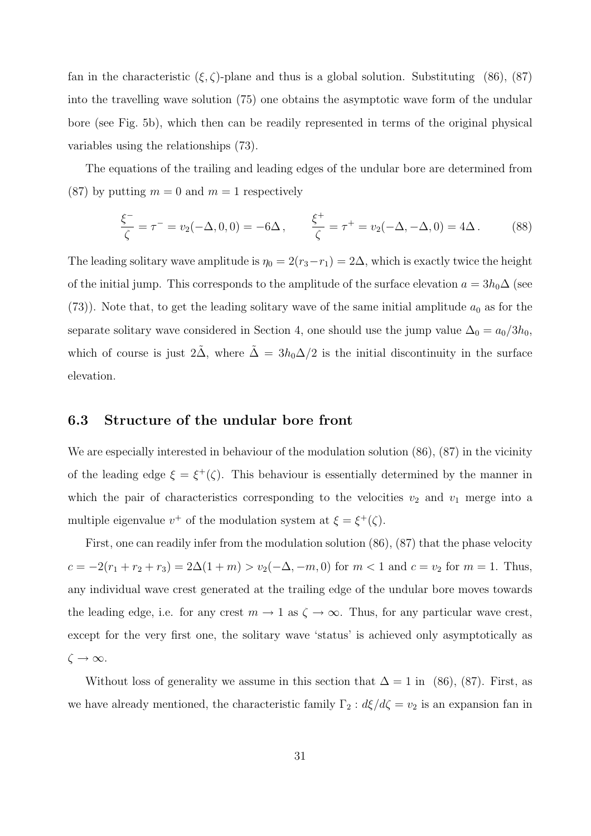fan in the characteristic  $(\xi, \zeta)$ -plane and thus is a global solution. Substituting (86), (87) into the travelling wave solution (75) one obtains the asymptotic wave form of the undular bore (see Fig. 5b), which then can be readily represented in terms of the original physical variables using the relationships (73).

The equations of the trailing and leading edges of the undular bore are determined from (87) by putting  $m = 0$  and  $m = 1$  respectively

$$
\frac{\xi^{-}}{\zeta} = \tau^{-} = v_2(-\Delta, 0, 0) = -6\Delta, \qquad \frac{\xi^{+}}{\zeta} = \tau^{+} = v_2(-\Delta, -\Delta, 0) = 4\Delta. \tag{88}
$$

The leading solitary wave amplitude is  $\eta_0 = 2(r_3 - r_1) = 2\Delta$ , which is exactly twice the height of the initial jump. This corresponds to the amplitude of the surface elevation  $a = 3h_0\Delta$  (see (73)). Note that, to get the leading solitary wave of the same initial amplitude  $a_0$  as for the separate solitary wave considered in Section 4, one should use the jump value  $\Delta_0 = a_0/3h_0$ , which of course is just  $2\tilde{\Delta}$ , where  $\tilde{\Delta} = 3h_0\Delta/2$  is the initial discontinuity in the surface elevation.

#### 6.3 Structure of the undular bore front

We are especially interested in behaviour of the modulation solution  $(86)$ ,  $(87)$  in the vicinity of the leading edge  $\xi = \xi^+(\zeta)$ . This behaviour is essentially determined by the manner in which the pair of characteristics corresponding to the velocities  $v_2$  and  $v_1$  merge into a multiple eigenvalue  $v^+$  of the modulation system at  $\xi = \xi^+(\zeta)$ .

First, one can readily infer from the modulation solution (86), (87) that the phase velocity  $c = -2(r_1 + r_2 + r_3) = 2\Delta(1 + m) > v_2(-\Delta, -m, 0)$  for  $m < 1$  and  $c = v_2$  for  $m = 1$ . Thus, any individual wave crest generated at the trailing edge of the undular bore moves towards the leading edge, i.e. for any crest  $m \to 1$  as  $\zeta \to \infty$ . Thus, for any particular wave crest, except for the very first one, the solitary wave 'status' is achieved only asymptotically as  $\zeta \to \infty$ .

Without loss of generality we assume in this section that  $\Delta = 1$  in (86), (87). First, as we have already mentioned, the characteristic family  $\Gamma_2 : d\xi/d\zeta = v_2$  is an expansion fan in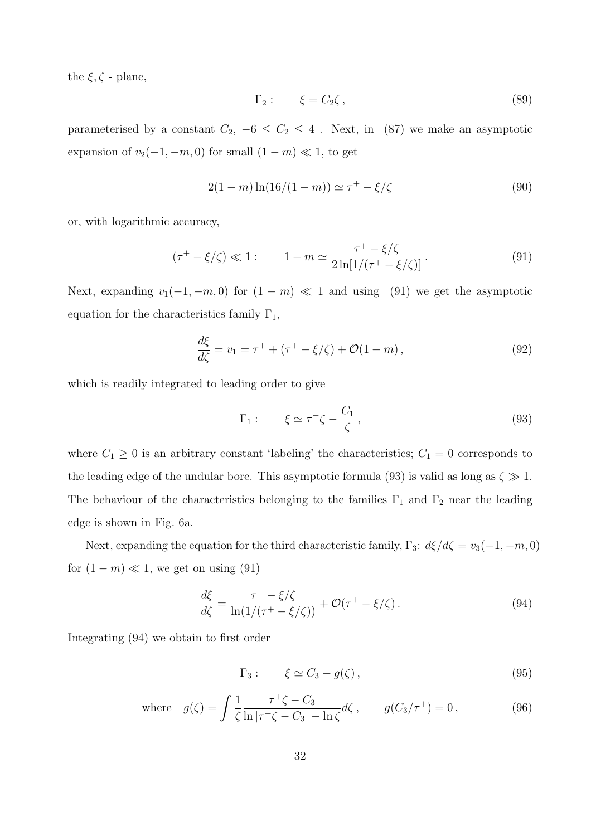the  $\xi, \zeta$  - plane,

$$
\Gamma_2: \qquad \xi = C_2 \zeta \,, \tag{89}
$$

parameterised by a constant  $C_2$ ,  $-6 \le C_2 \le 4$ . Next, in (87) we make an asymptotic expansion of  $v_2(-1, -m, 0)$  for small  $(1 - m) \ll 1$ , to get

$$
2(1-m)\ln(16/(1-m)) \simeq \tau^+ - \xi/\zeta \tag{90}
$$

or, with logarithmic accuracy,

$$
(\tau^+ - \xi/\zeta) \ll 1: \qquad 1 - m \simeq \frac{\tau^+ - \xi/\zeta}{2\ln[1/(\tau^+ - \xi/\zeta)]}.
$$
\n
$$
(91)
$$

Next, expanding  $v_1(-1, -m, 0)$  for  $(1 - m) \ll 1$  and using (91) we get the asymptotic equation for the characteristics family  $\Gamma_1$ ,

$$
\frac{d\xi}{d\zeta} = v_1 = \tau^+ + (\tau^+ - \xi/\zeta) + \mathcal{O}(1 - m),
$$
\n(92)

which is readily integrated to leading order to give

$$
\Gamma_1: \qquad \xi \simeq \tau^+ \zeta - \frac{C_1}{\zeta}, \tag{93}
$$

where  $C_1 \geq 0$  is an arbitrary constant 'labeling' the characteristics;  $C_1 = 0$  corresponds to the leading edge of the undular bore. This asymptotic formula (93) is valid as long as  $\zeta \gg 1$ . The behaviour of the characteristics belonging to the families  $\Gamma_1$  and  $\Gamma_2$  near the leading edge is shown in Fig. 6a.

Next, expanding the equation for the third characteristic family,  $\Gamma_3$ :  $d\xi/d\zeta = v_3(-1, -m, 0)$ for  $(1 - m) \ll 1$ , we get on using  $(91)$ 

$$
\frac{d\xi}{d\zeta} = \frac{\tau^+ - \xi/\zeta}{\ln(1/(\tau^+ - \xi/\zeta))} + \mathcal{O}(\tau^+ - \xi/\zeta). \tag{94}
$$

Integrating (94) we obtain to first order

$$
\Gamma_3: \qquad \xi \simeq C_3 - g(\zeta) \,, \tag{95}
$$

where 
$$
g(\zeta) = \int \frac{1}{\zeta} \frac{\tau^+ \zeta - C_3}{\ln|\tau^+ \zeta - C_3| - \ln \zeta} d\zeta
$$
,  $g(C_3/\tau^+) = 0$ , (96)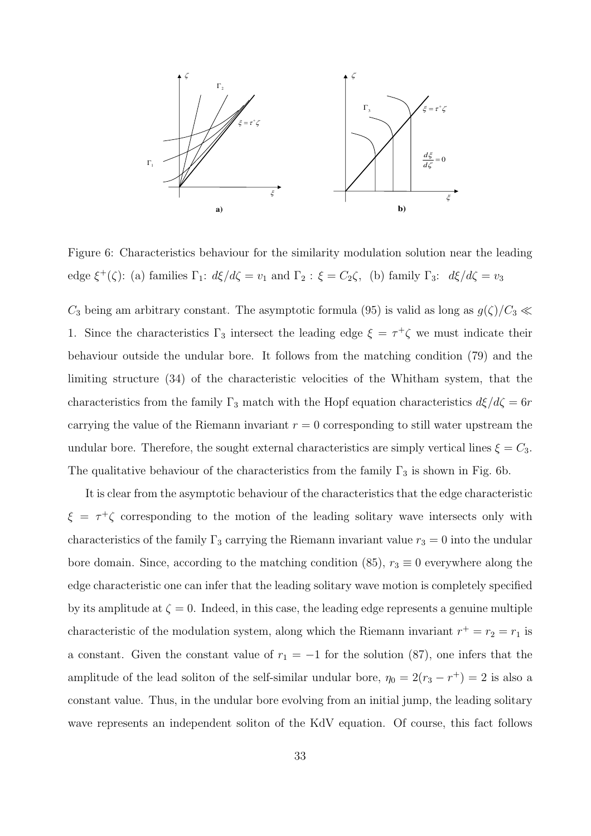

Figure 6: Characteristics behaviour for the similarity modulation solution near the leading edge  $\xi^+(\zeta)$ : (a) families  $\Gamma_1$ :  $d\xi/d\zeta = v_1$  and  $\Gamma_2$ :  $\xi = C_2\zeta$ , (b) family  $\Gamma_3$ :  $d\xi/d\zeta = v_3$ 

 $C_3$  being am arbitrary constant. The asymptotic formula (95) is valid as long as  $g(\zeta)/C_3 \ll$ 1. Since the characteristics  $\Gamma_3$  intersect the leading edge  $\xi = \tau^+ \zeta$  we must indicate their behaviour outside the undular bore. It follows from the matching condition (79) and the limiting structure (34) of the characteristic velocities of the Whitham system, that the characteristics from the family  $\Gamma_3$  match with the Hopf equation characteristics  $d\xi/d\zeta = 6r$ carrying the value of the Riemann invariant  $r = 0$  corresponding to still water upstream the undular bore. Therefore, the sought external characteristics are simply vertical lines  $\xi = C_3$ . The qualitative behaviour of the characteristics from the family  $\Gamma_3$  is shown in Fig. 6b.

It is clear from the asymptotic behaviour of the characteristics that the edge characteristic  $\xi = \tau^+ \zeta$  corresponding to the motion of the leading solitary wave intersects only with characteristics of the family  $\Gamma_3$  carrying the Riemann invariant value  $r_3 = 0$  into the undular bore domain. Since, according to the matching condition (85),  $r_3 \equiv 0$  everywhere along the edge characteristic one can infer that the leading solitary wave motion is completely specified by its amplitude at  $\zeta = 0$ . Indeed, in this case, the leading edge represents a genuine multiple characteristic of the modulation system, along which the Riemann invariant  $r^+ = r_2 = r_1$  is a constant. Given the constant value of  $r_1 = -1$  for the solution (87), one infers that the amplitude of the lead soliton of the self-similar undular bore,  $\eta_0 = 2(r_3 - r^+) = 2$  is also a constant value. Thus, in the undular bore evolving from an initial jump, the leading solitary wave represents an independent soliton of the KdV equation. Of course, this fact follows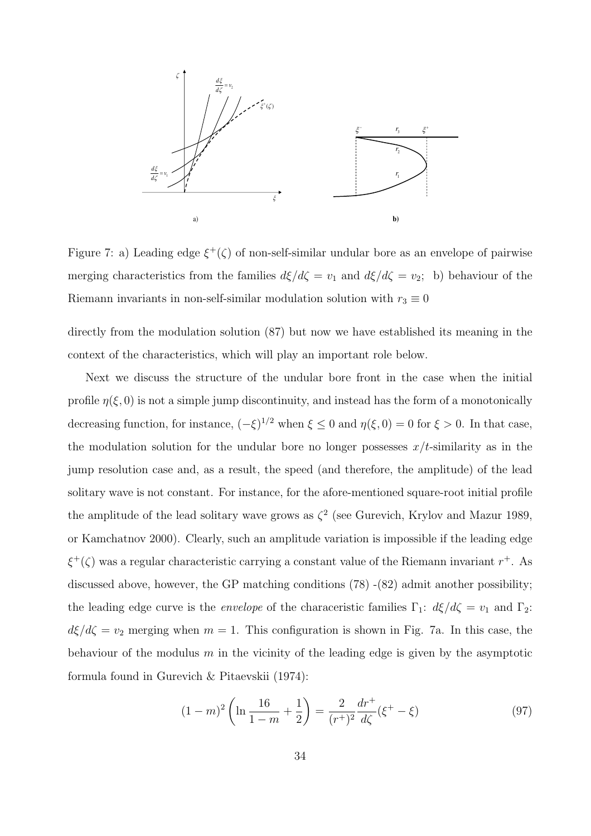

Figure 7: a) Leading edge  $\xi^+(\zeta)$  of non-self-similar undular bore as an envelope of pairwise merging characteristics from the families  $d\xi/d\zeta = v_1$  and  $d\xi/d\zeta = v_2$ ; b) behaviour of the Riemann invariants in non-self-similar modulation solution with  $r_3 \equiv 0$ 

directly from the modulation solution (87) but now we have established its meaning in the context of the characteristics, which will play an important role below.

Next we discuss the structure of the undular bore front in the case when the initial profile  $\eta(\xi, 0)$  is not a simple jump discontinuity, and instead has the form of a monotonically decreasing function, for instance,  $(-\xi)^{1/2}$  when  $\xi \leq 0$  and  $\eta(\xi, 0) = 0$  for  $\xi > 0$ . In that case, the modulation solution for the undular bore no longer possesses  $x/t$ -similarity as in the jump resolution case and, as a result, the speed (and therefore, the amplitude) of the lead solitary wave is not constant. For instance, for the afore-mentioned square-root initial profile the amplitude of the lead solitary wave grows as  $\zeta^2$  (see Gurevich, Krylov and Mazur 1989, or Kamchatnov 2000). Clearly, such an amplitude variation is impossible if the leading edge  $\xi^+(\zeta)$  was a regular characteristic carrying a constant value of the Riemann invariant  $r^+$ . As discussed above, however, the GP matching conditions (78) -(82) admit another possibility; the leading edge curve is the *envelope* of the characeristic families  $\Gamma_1$ :  $d\xi/d\zeta = v_1$  and  $\Gamma_2$ :  $d\xi/d\zeta = v_2$  merging when  $m = 1$ . This configuration is shown in Fig. 7a. In this case, the behaviour of the modulus  $m$  in the vicinity of the leading edge is given by the asymptotic formula found in Gurevich & Pitaevskii (1974):

$$
(1-m)^2 \left( \ln \frac{16}{1-m} + \frac{1}{2} \right) = \frac{2}{(r^+)^2} \frac{dr^+}{d\zeta} (\xi^+ - \xi)
$$
\n(97)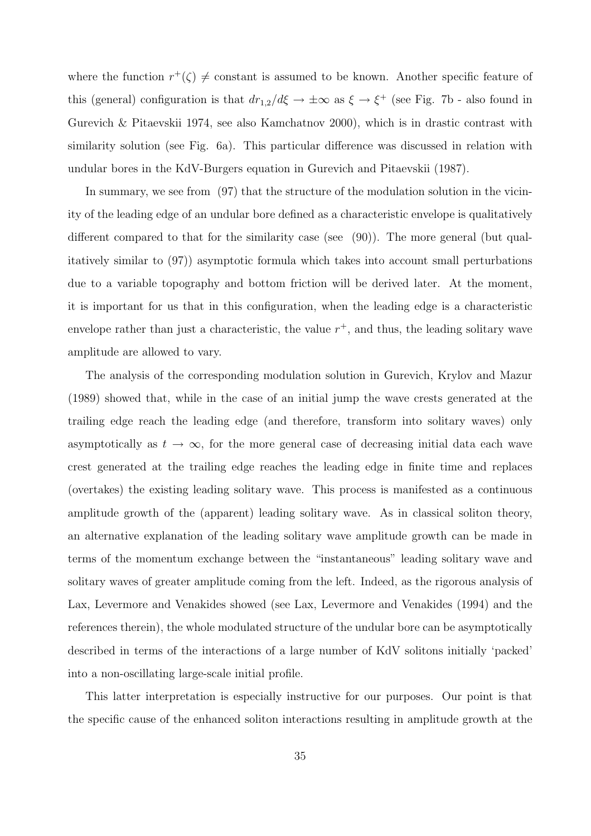where the function  $r^+(\zeta) \neq$  constant is assumed to be known. Another specific feature of this (general) configuration is that  $dr_{1,2}/d\xi \to \pm \infty$  as  $\xi \to \xi^+$  (see Fig. 7b - also found in Gurevich & Pitaevskii 1974, see also Kamchatnov 2000), which is in drastic contrast with similarity solution (see Fig. 6a). This particular difference was discussed in relation with undular bores in the KdV-Burgers equation in Gurevich and Pitaevskii (1987).

In summary, we see from (97) that the structure of the modulation solution in the vicinity of the leading edge of an undular bore defined as a characteristic envelope is qualitatively different compared to that for the similarity case (see (90)). The more general (but qualitatively similar to (97)) asymptotic formula which takes into account small perturbations due to a variable topography and bottom friction will be derived later. At the moment, it is important for us that in this configuration, when the leading edge is a characteristic envelope rather than just a characteristic, the value  $r^+$ , and thus, the leading solitary wave amplitude are allowed to vary.

The analysis of the corresponding modulation solution in Gurevich, Krylov and Mazur (1989) showed that, while in the case of an initial jump the wave crests generated at the trailing edge reach the leading edge (and therefore, transform into solitary waves) only asymptotically as  $t \to \infty$ , for the more general case of decreasing initial data each wave crest generated at the trailing edge reaches the leading edge in finite time and replaces (overtakes) the existing leading solitary wave. This process is manifested as a continuous amplitude growth of the (apparent) leading solitary wave. As in classical soliton theory, an alternative explanation of the leading solitary wave amplitude growth can be made in terms of the momentum exchange between the "instantaneous" leading solitary wave and solitary waves of greater amplitude coming from the left. Indeed, as the rigorous analysis of Lax, Levermore and Venakides showed (see Lax, Levermore and Venakides (1994) and the references therein), the whole modulated structure of the undular bore can be asymptotically described in terms of the interactions of a large number of KdV solitons initially 'packed' into a non-oscillating large-scale initial profile.

This latter interpretation is especially instructive for our purposes. Our point is that the specific cause of the enhanced soliton interactions resulting in amplitude growth at the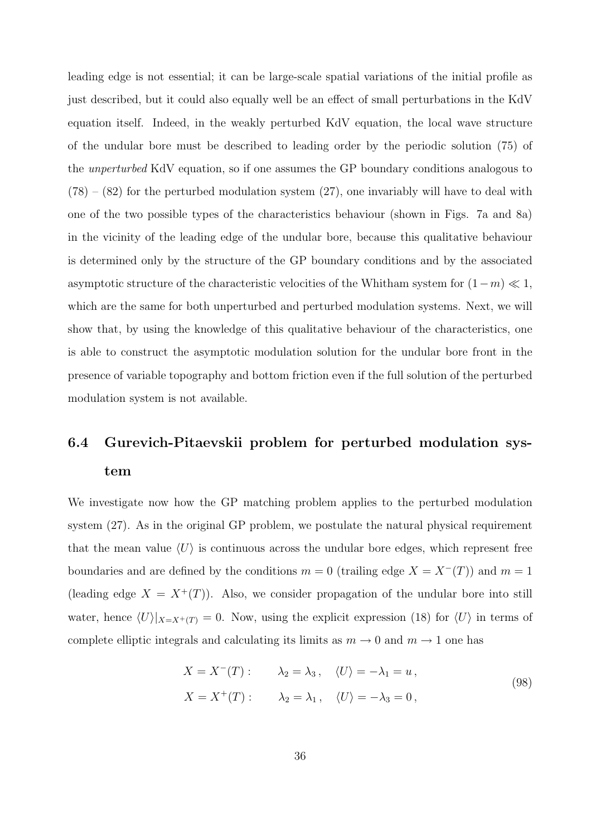leading edge is not essential; it can be large-scale spatial variations of the initial profile as just described, but it could also equally well be an effect of small perturbations in the KdV equation itself. Indeed, in the weakly perturbed KdV equation, the local wave structure of the undular bore must be described to leading order by the periodic solution (75) of the unperturbed KdV equation, so if one assumes the GP boundary conditions analogous to  $(78) - (82)$  for the perturbed modulation system  $(27)$ , one invariably will have to deal with one of the two possible types of the characteristics behaviour (shown in Figs. 7a and 8a) in the vicinity of the leading edge of the undular bore, because this qualitative behaviour is determined only by the structure of the GP boundary conditions and by the associated asymptotic structure of the characteristic velocities of the Whitham system for  $(1 - m) \ll 1$ , which are the same for both unperturbed and perturbed modulation systems. Next, we will show that, by using the knowledge of this qualitative behaviour of the characteristics, one is able to construct the asymptotic modulation solution for the undular bore front in the presence of variable topography and bottom friction even if the full solution of the perturbed modulation system is not available.

## 6.4 Gurevich-Pitaevskii problem for perturbed modulation system

We investigate now how the GP matching problem applies to the perturbed modulation system (27). As in the original GP problem, we postulate the natural physical requirement that the mean value  $\langle U \rangle$  is continuous across the undular bore edges, which represent free boundaries and are defined by the conditions  $m = 0$  (trailing edge  $X = X^{-}(T)$ ) and  $m = 1$ (leading edge  $X = X^+(T)$ ). Also, we consider propagation of the undular bore into still water, hence  $\langle U \rangle|_{X=X^+(T)} = 0$ . Now, using the explicit expression (18) for  $\langle U \rangle$  in terms of complete elliptic integrals and calculating its limits as  $m \to 0$  and  $m \to 1$  one has

$$
X = X^{-}(T): \qquad \lambda_2 = \lambda_3, \quad \langle U \rangle = -\lambda_1 = u,
$$
  

$$
X = X^{+}(T): \qquad \lambda_2 = \lambda_1, \quad \langle U \rangle = -\lambda_3 = 0,
$$
 (98)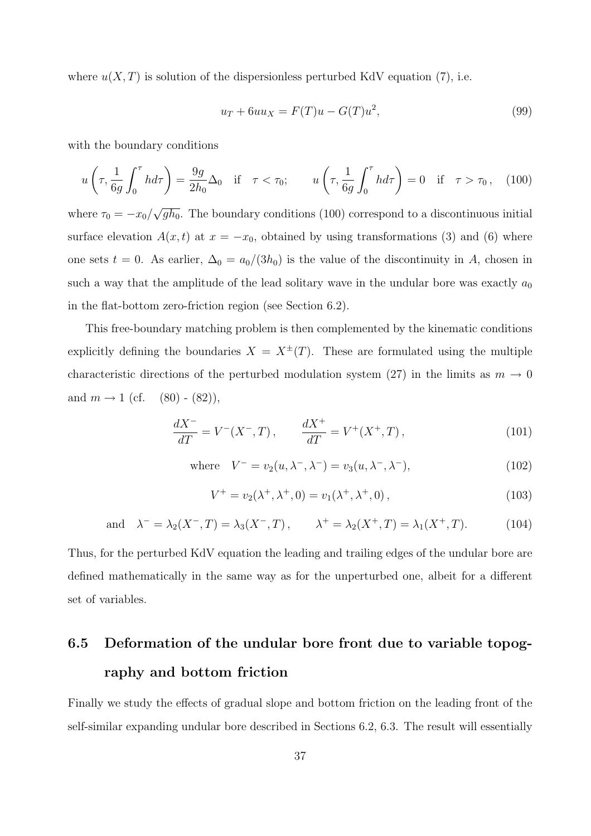where  $u(X,T)$  is solution of the dispersionless perturbed KdV equation (7), i.e.

$$
u_T + 6uu_X = F(T)u - G(T)u^2,
$$
\n
$$
(99)
$$

with the boundary conditions

$$
u\left(\tau, \frac{1}{6g} \int_0^\tau h d\tau\right) = \frac{9g}{2h_0} \Delta_0 \quad \text{if} \quad \tau < \tau_0; \qquad u\left(\tau, \frac{1}{6g} \int_0^\tau h d\tau\right) = 0 \quad \text{if} \quad \tau > \tau_0 \,, \tag{100}
$$

where  $\tau_0 = -x_0/$ √  $\overline{gh_0}$ . The boundary conditions (100) correspond to a discontinuous initial surface elevation  $A(x, t)$  at  $x = -x_0$ , obtained by using transformations (3) and (6) where one sets  $t = 0$ . As earlier,  $\Delta_0 = a_0/(3h_0)$  is the value of the discontinuity in A, chosen in such a way that the amplitude of the lead solitary wave in the undular bore was exactly  $a_0$ in the flat-bottom zero-friction region (see Section 6.2).

This free-boundary matching problem is then complemented by the kinematic conditions explicitly defining the boundaries  $X = X^{\pm}(T)$ . These are formulated using the multiple characteristic directions of the perturbed modulation system (27) in the limits as  $m \to 0$ and  $m \to 1$  (cf.  $(80)$  -  $(82)$ ),

$$
\frac{dX^{-}}{dT} = V^{-}(X^{-}, T), \qquad \frac{dX^{+}}{dT} = V^{+}(X^{+}, T), \qquad (101)
$$

where 
$$
V^- = v_2(u, \lambda^-, \lambda^-) = v_3(u, \lambda^-, \lambda^-),
$$
 (102)

$$
V^{+} = v_{2}(\lambda^{+}, \lambda^{+}, 0) = v_{1}(\lambda^{+}, \lambda^{+}, 0), \qquad (103)
$$

and 
$$
\lambda^- = \lambda_2(X^-, T) = \lambda_3(X^-, T)
$$
,  $\lambda^+ = \lambda_2(X^+, T) = \lambda_1(X^+, T)$ . (104)

Thus, for the perturbed KdV equation the leading and trailing edges of the undular bore are defined mathematically in the same way as for the unperturbed one, albeit for a different set of variables.

## 6.5 Deformation of the undular bore front due to variable topography and bottom friction

Finally we study the effects of gradual slope and bottom friction on the leading front of the self-similar expanding undular bore described in Sections 6.2, 6.3. The result will essentially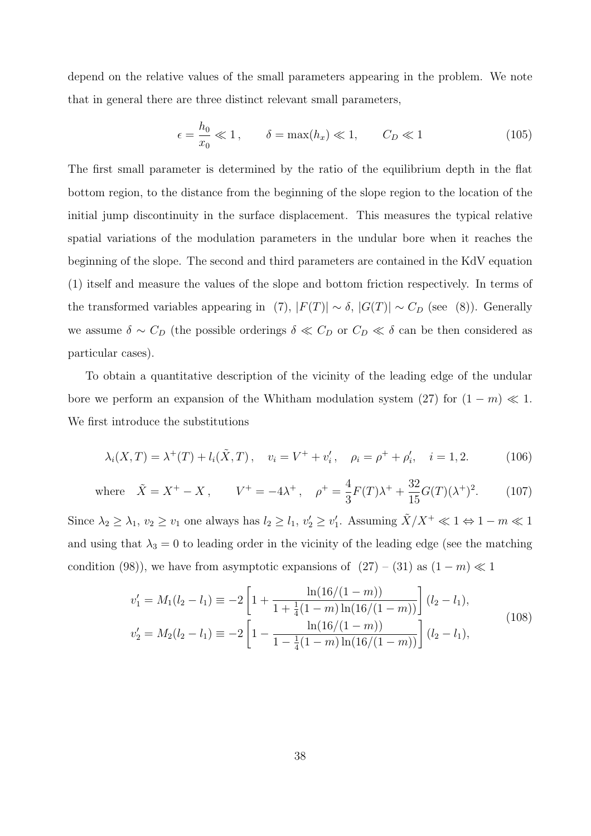depend on the relative values of the small parameters appearing in the problem. We note that in general there are three distinct relevant small parameters,

$$
\epsilon = \frac{h_0}{x_0} \ll 1, \qquad \delta = \max(h_x) \ll 1, \qquad C_D \ll 1 \tag{105}
$$

The first small parameter is determined by the ratio of the equilibrium depth in the flat bottom region, to the distance from the beginning of the slope region to the location of the initial jump discontinuity in the surface displacement. This measures the typical relative spatial variations of the modulation parameters in the undular bore when it reaches the beginning of the slope. The second and third parameters are contained in the KdV equation (1) itself and measure the values of the slope and bottom friction respectively. In terms of the transformed variables appearing in (7),  $|F(T)| \sim \delta$ ,  $|G(T)| \sim C_D$  (see (8)). Generally we assume  $\delta \sim C_D$  (the possible orderings  $\delta \ll C_D$  or  $C_D \ll \delta$  can be then considered as particular cases).

To obtain a quantitative description of the vicinity of the leading edge of the undular bore we perform an expansion of the Whitham modulation system (27) for  $(1 - m) \ll 1$ . We first introduce the substitutions

$$
\lambda_i(X,T) = \lambda^+(T) + l_i(\tilde{X},T), \quad v_i = V^+ + v_i', \quad \rho_i = \rho^+ + \rho_i', \quad i = 1,2. \tag{106}
$$

where 
$$
\tilde{X} = X^+ - X
$$
,  $V^+ = -4\lambda^+$ ,  $\rho^+ = \frac{4}{3}F(T)\lambda^+ + \frac{32}{15}G(T)(\lambda^+)^2$ . (107)

Since  $\lambda_2 \geq \lambda_1$ ,  $v_2 \geq v_1$  one always has  $l_2 \geq l_1$ ,  $v'_2 \geq v'_1$ . Assuming  $\tilde{X}/X^+ \ll 1 \Leftrightarrow 1 - m \ll 1$ and using that  $\lambda_3 = 0$  to leading order in the vicinity of the leading edge (see the matching condition (98)), we have from asymptotic expansions of  $(27) - (31)$  as  $(1 - m) \ll 1$ 

$$
v'_1 = M_1(l_2 - l_1) \equiv -2 \left[ 1 + \frac{\ln(16/(1-m))}{1 + \frac{1}{4}(1-m)\ln(16/(1-m))} \right] (l_2 - l_1),
$$
  
\n
$$
v'_2 = M_2(l_2 - l_1) \equiv -2 \left[ 1 - \frac{\ln(16/(1-m))}{1 - \frac{1}{4}(1-m)\ln(16/(1-m))} \right] (l_2 - l_1),
$$
\n(108)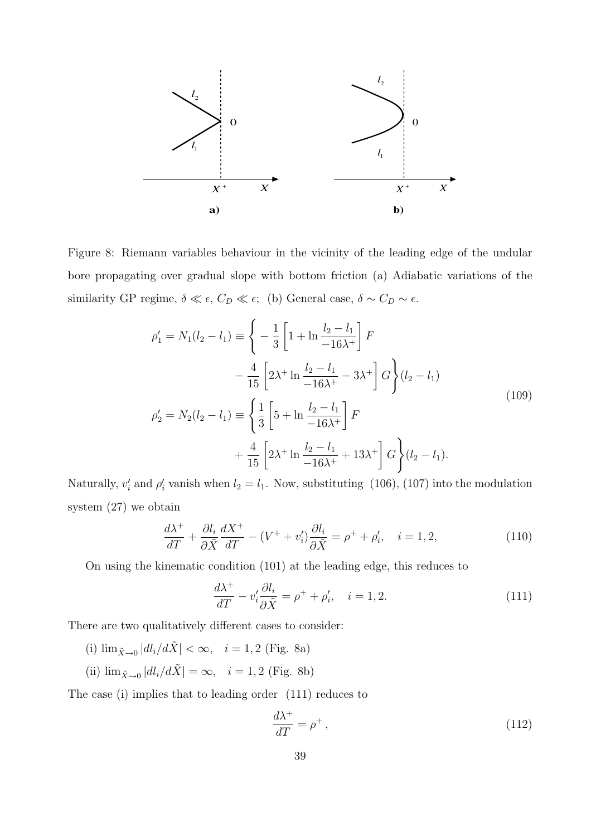

Figure 8: Riemann variables behaviour in the vicinity of the leading edge of the undular bore propagating over gradual slope with bottom friction (a) Adiabatic variations of the similarity GP regime,  $\delta \ll \epsilon$ ,  $C_D \ll \epsilon$ ; (b) General case,  $\delta \sim C_D \sim \epsilon$ .

$$
\rho_1' = N_1(l_2 - l_1) \equiv \left\{ -\frac{1}{3} \left[ 1 + \ln \frac{l_2 - l_1}{-16\lambda^+} \right] F \right\}
$$
  
\n
$$
- \frac{4}{15} \left[ 2\lambda^+ \ln \frac{l_2 - l_1}{-16\lambda^+} - 3\lambda^+ \right] G \right\} (l_2 - l_1)
$$
  
\n
$$
\rho_2' = N_2(l_2 - l_1) \equiv \left\{ \frac{1}{3} \left[ 5 + \ln \frac{l_2 - l_1}{-16\lambda^+} \right] F \right\}
$$
  
\n
$$
+ \frac{4}{15} \left[ 2\lambda^+ \ln \frac{l_2 - l_1}{-16\lambda^+} + 13\lambda^+ \right] G \right\} (l_2 - l_1).
$$
\n(109)

Naturally,  $v_i'$  and  $\rho_i'$  vanish when  $l_2 = l_1$ . Now, substituting (106), (107) into the modulation system (27) we obtain

$$
\frac{d\lambda^{+}}{dT} + \frac{\partial l_i}{\partial \tilde{X}} \frac{dX^{+}}{dT} - (V^{+} + v_i') \frac{\partial l_i}{\partial \tilde{X}} = \rho^{+} + \rho_i', \quad i = 1, 2,
$$
\n(110)

On using the kinematic condition (101) at the leading edge, this reduces to

$$
\frac{d\lambda^{+}}{dT} - v_{i}' \frac{\partial l_{i}}{\partial \tilde{X}} = \rho^{+} + \rho_{i}', \quad i = 1, 2.
$$
\n(111)

There are two qualitatively different cases to consider:

(i)  $\lim_{\tilde{X}\to 0} |dl_i/d\tilde{X}| < \infty$ ,  $i = 1, 2$  (Fig. 8a) (ii)  $\lim_{\tilde{X}\to 0} |dl_i/d\tilde{X}| = \infty$ ,  $i = 1, 2$  (Fig. 8b)

The case (i) implies that to leading order (111) reduces to

$$
\frac{d\lambda^+}{dT} = \rho^+ \,,\tag{112}
$$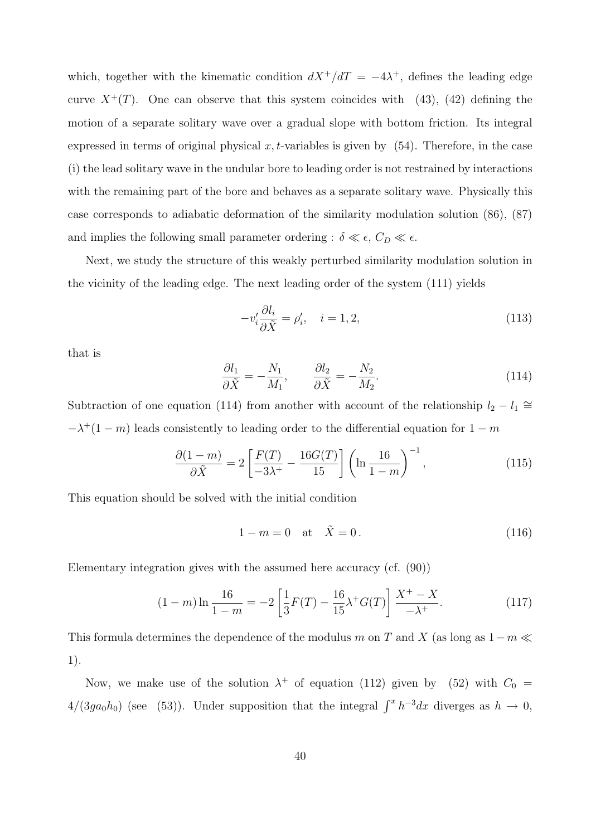which, together with the kinematic condition  $dX^{+}/dT = -4\lambda^{+}$ , defines the leading edge curve  $X^+(T)$ . One can observe that this system coincides with (43), (42) defining the motion of a separate solitary wave over a gradual slope with bottom friction. Its integral expressed in terms of original physical  $x, t$ -variables is given by  $(54)$ . Therefore, in the case (i) the lead solitary wave in the undular bore to leading order is not restrained by interactions with the remaining part of the bore and behaves as a separate solitary wave. Physically this case corresponds to adiabatic deformation of the similarity modulation solution (86), (87) and implies the following small parameter ordering :  $\delta \ll \epsilon$ ,  $C_D \ll \epsilon$ .

Next, we study the structure of this weakly perturbed similarity modulation solution in the vicinity of the leading edge. The next leading order of the system (111) yields

$$
-v_i' \frac{\partial l_i}{\partial \tilde{X}} = \rho_i', \quad i = 1, 2,
$$
\n(113)

that is

$$
\frac{\partial l_1}{\partial \tilde{X}} = -\frac{N_1}{M_1}, \qquad \frac{\partial l_2}{\partial \tilde{X}} = -\frac{N_2}{M_2}.
$$
\n(114)

Subtraction of one equation (114) from another with account of the relationship  $l_2 - l_1 \approx$  $-\lambda^+(1-m)$  leads consistently to leading order to the differential equation for  $1-m$ 

$$
\frac{\partial (1-m)}{\partial \tilde{X}} = 2 \left[ \frac{F(T)}{-3\lambda^{+}} - \frac{16G(T)}{15} \right] \left( \ln \frac{16}{1-m} \right)^{-1},\tag{115}
$$

This equation should be solved with the initial condition

$$
1 - m = 0 \quad \text{at} \quad \tilde{X} = 0. \tag{116}
$$

Elementary integration gives with the assumed here accuracy (cf. (90))

$$
(1 - m)\ln\frac{16}{1 - m} = -2\left[\frac{1}{3}F(T) - \frac{16}{15}\lambda^+G(T)\right]\frac{X^+ - X}{-\lambda^+}.
$$
 (117)

This formula determines the dependence of the modulus m on T and X (as long as  $1-m \ll$ 1).

Now, we make use of the solution  $\lambda^+$  of equation (112) given by (52) with  $C_0 =$  $4/(3ga_0h_0)$  (see (53)). Under supposition that the integral  $\int^x h^{-3}dx$  diverges as  $h \to 0$ ,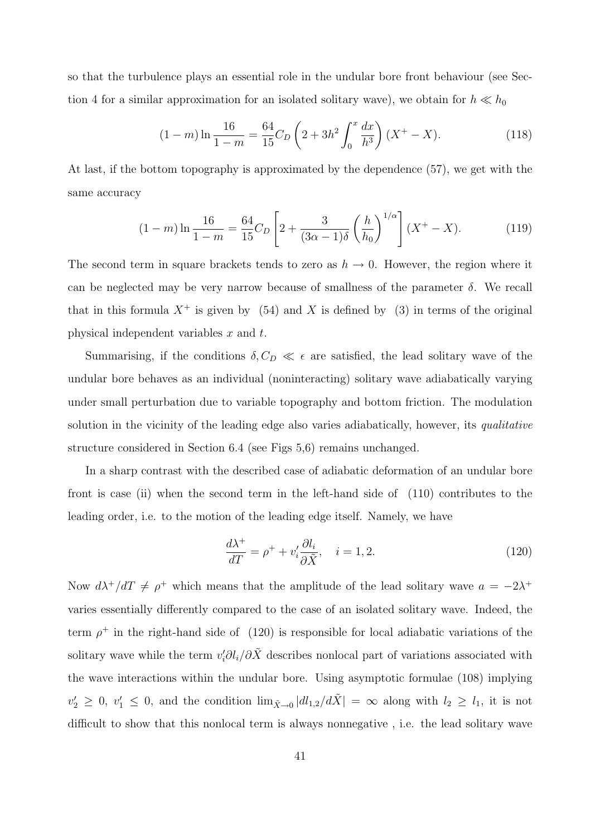so that the turbulence plays an essential role in the undular bore front behaviour (see Section 4 for a similar approximation for an isolated solitary wave), we obtain for  $h \ll h_0$ 

$$
(1 - m)\ln\frac{16}{1 - m} = \frac{64}{15}C_D\left(2 + 3h^2\int_0^x\frac{dx}{h^3}\right)(X^+ - X). \tag{118}
$$

At last, if the bottom topography is approximated by the dependence (57), we get with the same accuracy

$$
(1 - m)\ln\frac{16}{1 - m} = \frac{64}{15}C_D\left[2 + \frac{3}{(3\alpha - 1)\delta}\left(\frac{h}{h_0}\right)^{1/\alpha}\right](X^+ - X). \tag{119}
$$

The second term in square brackets tends to zero as  $h \to 0$ . However, the region where it can be neglected may be very narrow because of smallness of the parameter  $\delta$ . We recall that in this formula  $X^+$  is given by (54) and X is defined by (3) in terms of the original physical independent variables x and t.

Summarising, if the conditions  $\delta, C_D \ll \epsilon$  are satisfied, the lead solitary wave of the undular bore behaves as an individual (noninteracting) solitary wave adiabatically varying under small perturbation due to variable topography and bottom friction. The modulation solution in the vicinity of the leading edge also varies adiabatically, however, its qualitative structure considered in Section 6.4 (see Figs 5,6) remains unchanged.

In a sharp contrast with the described case of adiabatic deformation of an undular bore front is case (ii) when the second term in the left-hand side of (110) contributes to the leading order, i.e. to the motion of the leading edge itself. Namely, we have

$$
\frac{d\lambda^{+}}{dT} = \rho^{+} + v_{i}' \frac{\partial l_{i}}{\partial \tilde{X}}, \quad i = 1, 2.
$$
\n(120)

Now  $d\lambda^+/dT \neq \rho^+$  which means that the amplitude of the lead solitary wave  $a = -2\lambda^+$ varies essentially differently compared to the case of an isolated solitary wave. Indeed, the term  $\rho^+$  in the right-hand side of (120) is responsible for local adiabatic variations of the solitary wave while the term  $v_i' \partial l_i / \partial \tilde{X}$  describes nonlocal part of variations associated with the wave interactions within the undular bore. Using asymptotic formulae (108) implying  $v'_2 \geq 0$ ,  $v'_1 \leq 0$ , and the condition  $\lim_{\tilde{X}\to 0} |dl_{1,2}/d\tilde{X}| = \infty$  along with  $l_2 \geq l_1$ , it is not difficult to show that this nonlocal term is always nonnegative , i.e. the lead solitary wave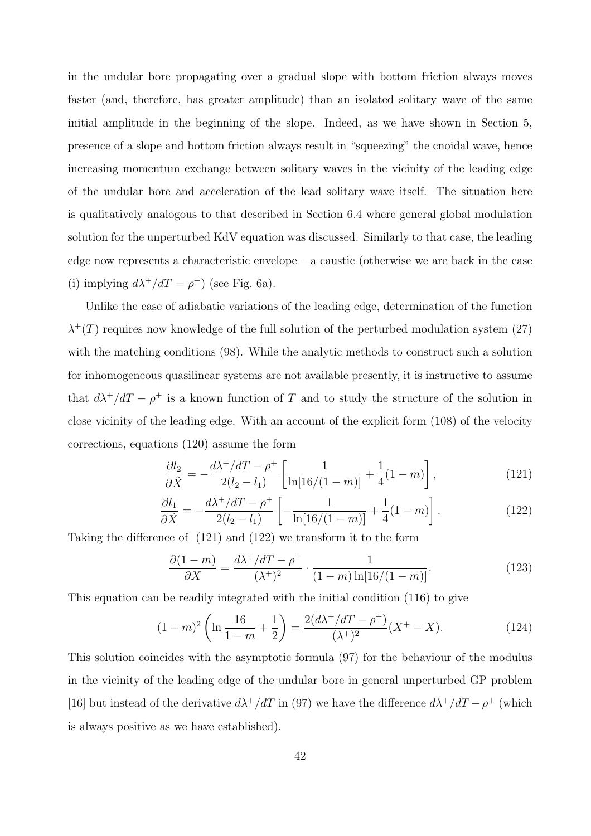in the undular bore propagating over a gradual slope with bottom friction always moves faster (and, therefore, has greater amplitude) than an isolated solitary wave of the same initial amplitude in the beginning of the slope. Indeed, as we have shown in Section 5, presence of a slope and bottom friction always result in "squeezing" the cnoidal wave, hence increasing momentum exchange between solitary waves in the vicinity of the leading edge of the undular bore and acceleration of the lead solitary wave itself. The situation here is qualitatively analogous to that described in Section 6.4 where general global modulation solution for the unperturbed KdV equation was discussed. Similarly to that case, the leading edge now represents a characteristic envelope – a caustic (otherwise we are back in the case (i) implying  $d\lambda^+/dT = \rho^+$ ) (see Fig. 6a).

Unlike the case of adiabatic variations of the leading edge, determination of the function  $\lambda^{+}(T)$  requires now knowledge of the full solution of the perturbed modulation system (27) with the matching conditions  $(98)$ . While the analytic methods to construct such a solution for inhomogeneous quasilinear systems are not available presently, it is instructive to assume that  $d\lambda^+/dT - \rho^+$  is a known function of T and to study the structure of the solution in close vicinity of the leading edge. With an account of the explicit form (108) of the velocity corrections, equations (120) assume the form

$$
\frac{\partial l_2}{\partial \tilde{X}} = -\frac{d\lambda^+ / dT - \rho^+}{2(l_2 - l_1)} \left[ \frac{1}{\ln[16/(1 - m)]} + \frac{1}{4}(1 - m) \right],\tag{121}
$$

$$
\frac{\partial l_1}{\partial \tilde{X}} = -\frac{d\lambda^+ / dT - \rho^+}{2(l_2 - l_1)} \left[ -\frac{1}{\ln[16/(1-m)]} + \frac{1}{4}(1-m) \right]. \tag{122}
$$

Taking the difference of (121) and (122) we transform it to the form

$$
\frac{\partial (1-m)}{\partial X} = \frac{d\lambda^+ / dT - \rho^+}{(\lambda^+)^2} \cdot \frac{1}{(1-m)\ln[16/(1-m)]}.
$$
 (123)

This equation can be readily integrated with the initial condition (116) to give

$$
(1-m)^2 \left( \ln \frac{16}{1-m} + \frac{1}{2} \right) = \frac{2(d\lambda^+ / dT - \rho^+)}{(\lambda^+)^2} (X^+ - X). \tag{124}
$$

This solution coincides with the asymptotic formula (97) for the behaviour of the modulus in the vicinity of the leading edge of the undular bore in general unperturbed GP problem [16] but instead of the derivative  $d\lambda^+/dT$  in (97) we have the difference  $d\lambda^+/dT - \rho^+$  (which is always positive as we have established).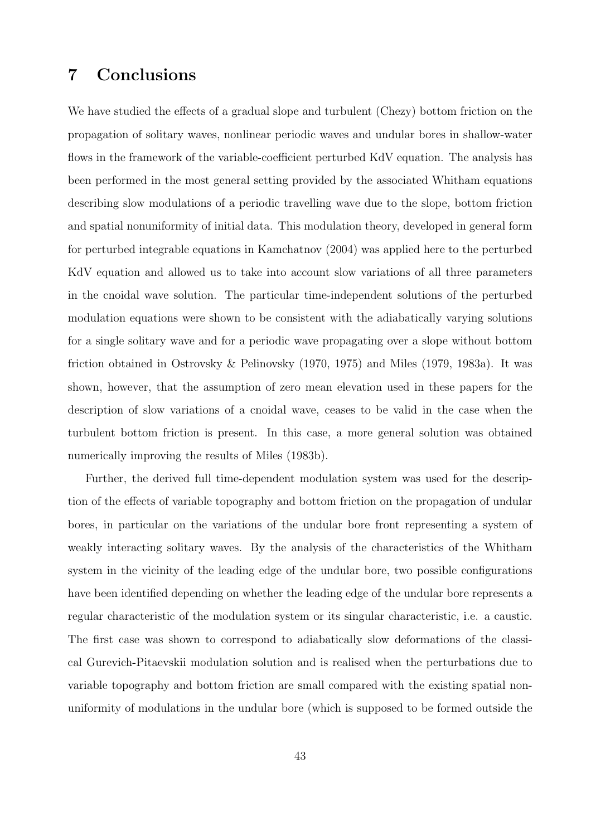## 7 Conclusions

We have studied the effects of a gradual slope and turbulent (Chezy) bottom friction on the propagation of solitary waves, nonlinear periodic waves and undular bores in shallow-water flows in the framework of the variable-coefficient perturbed KdV equation. The analysis has been performed in the most general setting provided by the associated Whitham equations describing slow modulations of a periodic travelling wave due to the slope, bottom friction and spatial nonuniformity of initial data. This modulation theory, developed in general form for perturbed integrable equations in Kamchatnov (2004) was applied here to the perturbed KdV equation and allowed us to take into account slow variations of all three parameters in the cnoidal wave solution. The particular time-independent solutions of the perturbed modulation equations were shown to be consistent with the adiabatically varying solutions for a single solitary wave and for a periodic wave propagating over a slope without bottom friction obtained in Ostrovsky & Pelinovsky (1970, 1975) and Miles (1979, 1983a). It was shown, however, that the assumption of zero mean elevation used in these papers for the description of slow variations of a cnoidal wave, ceases to be valid in the case when the turbulent bottom friction is present. In this case, a more general solution was obtained numerically improving the results of Miles (1983b).

Further, the derived full time-dependent modulation system was used for the description of the effects of variable topography and bottom friction on the propagation of undular bores, in particular on the variations of the undular bore front representing a system of weakly interacting solitary waves. By the analysis of the characteristics of the Whitham system in the vicinity of the leading edge of the undular bore, two possible configurations have been identified depending on whether the leading edge of the undular bore represents a regular characteristic of the modulation system or its singular characteristic, i.e. a caustic. The first case was shown to correspond to adiabatically slow deformations of the classical Gurevich-Pitaevskii modulation solution and is realised when the perturbations due to variable topography and bottom friction are small compared with the existing spatial nonuniformity of modulations in the undular bore (which is supposed to be formed outside the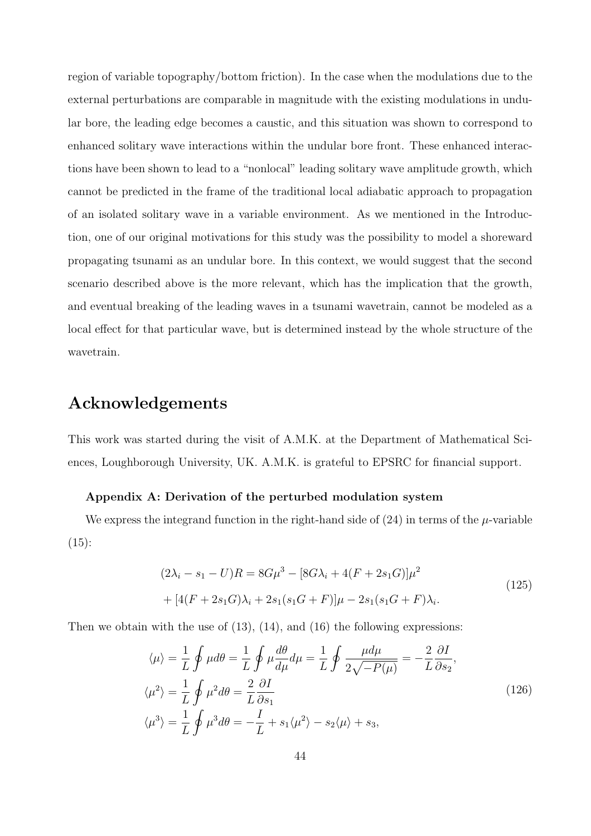region of variable topography/bottom friction). In the case when the modulations due to the external perturbations are comparable in magnitude with the existing modulations in undular bore, the leading edge becomes a caustic, and this situation was shown to correspond to enhanced solitary wave interactions within the undular bore front. These enhanced interactions have been shown to lead to a "nonlocal" leading solitary wave amplitude growth, which cannot be predicted in the frame of the traditional local adiabatic approach to propagation of an isolated solitary wave in a variable environment. As we mentioned in the Introduction, one of our original motivations for this study was the possibility to model a shoreward propagating tsunami as an undular bore. In this context, we would suggest that the second scenario described above is the more relevant, which has the implication that the growth, and eventual breaking of the leading waves in a tsunami wavetrain, cannot be modeled as a local effect for that particular wave, but is determined instead by the whole structure of the wavetrain.

## Acknowledgements

This work was started during the visit of A.M.K. at the Department of Mathematical Sciences, Loughborough University, UK. A.M.K. is grateful to EPSRC for financial support.

#### Appendix A: Derivation of the perturbed modulation system

We express the integrand function in the right-hand side of  $(24)$  in terms of the  $\mu$ -variable  $(15):$ 

$$
(2\lambda_i - s_1 - U)R = 8G\mu^3 - [8G\lambda_i + 4(F + 2s_1G)]\mu^2
$$
  
+ 
$$
[4(F + 2s_1G)\lambda_i + 2s_1(s_1G + F)]\mu - 2s_1(s_1G + F)\lambda_i.
$$
 (125)

Then we obtain with the use of  $(13)$ ,  $(14)$ , and  $(16)$  the following expressions:

$$
\langle \mu \rangle = \frac{1}{L} \oint \mu d\theta = \frac{1}{L} \oint \mu \frac{d\theta}{d\mu} d\mu = \frac{1}{L} \oint \frac{\mu d\mu}{2\sqrt{-P(\mu)}} = -\frac{2}{L} \frac{\partial I}{\partial s_2},
$$
  

$$
\langle \mu^2 \rangle = \frac{1}{L} \oint \mu^2 d\theta = \frac{2}{L} \frac{\partial I}{\partial s_1}
$$
  

$$
\langle \mu^3 \rangle = \frac{1}{L} \oint \mu^3 d\theta = -\frac{I}{L} + s_1 \langle \mu^2 \rangle - s_2 \langle \mu \rangle + s_3,
$$
 (126)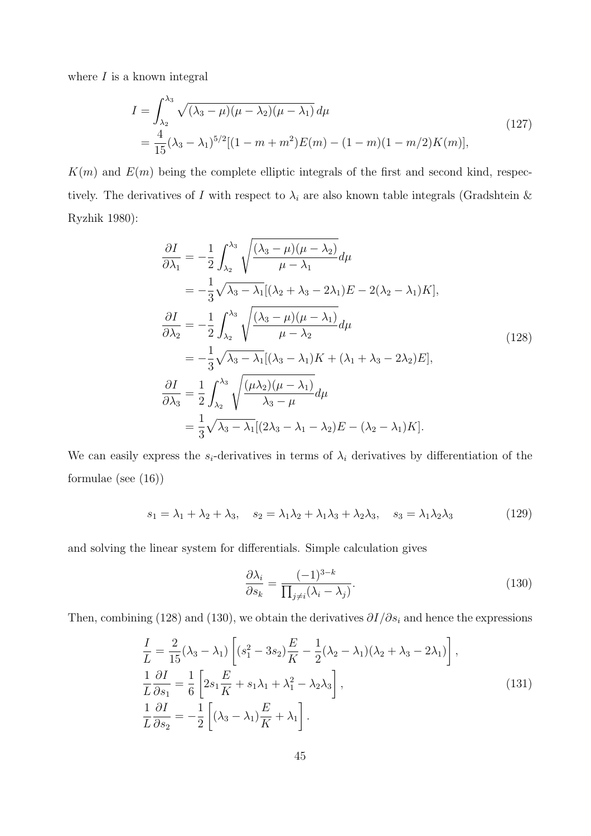where  $I$  is a known integral

$$
I = \int_{\lambda_2}^{\lambda_3} \sqrt{(\lambda_3 - \mu)(\mu - \lambda_2)(\mu - \lambda_1)} d\mu
$$
  
= 
$$
\frac{4}{15} (\lambda_3 - \lambda_1)^{5/2} [(1 - m + m^2)E(m) - (1 - m)(1 - m/2)K(m)],
$$
 (127)

 $K(m)$  and  $E(m)$  being the complete elliptic integrals of the first and second kind, respectively. The derivatives of I with respect to  $\lambda_i$  are also known table integrals (Gradshtein & Ryzhik 1980):

$$
\frac{\partial I}{\partial \lambda_1} = -\frac{1}{2} \int_{\lambda_2}^{\lambda_3} \sqrt{\frac{(\lambda_3 - \mu)(\mu - \lambda_2)}{\mu - \lambda_1}} d\mu
$$
  
\n
$$
= -\frac{1}{3} \sqrt{\lambda_3 - \lambda_1} [(\lambda_2 + \lambda_3 - 2\lambda_1) E - 2(\lambda_2 - \lambda_1) K],
$$
  
\n
$$
\frac{\partial I}{\partial \lambda_2} = -\frac{1}{2} \int_{\lambda_2}^{\lambda_3} \sqrt{\frac{(\lambda_3 - \mu)(\mu - \lambda_1)}{\mu - \lambda_2}} d\mu
$$
  
\n
$$
= -\frac{1}{3} \sqrt{\lambda_3 - \lambda_1} [(\lambda_3 - \lambda_1) K + (\lambda_1 + \lambda_3 - 2\lambda_2) E],
$$
  
\n
$$
\frac{\partial I}{\partial \lambda_3} = \frac{1}{2} \int_{\lambda_2}^{\lambda_3} \sqrt{\frac{(\mu \lambda_2)(\mu - \lambda_1)}{\lambda_3 - \mu}} d\mu
$$
  
\n
$$
= \frac{1}{3} \sqrt{\lambda_3 - \lambda_1} [2\lambda_3 - \lambda_1 - \lambda_2] E - (\lambda_2 - \lambda_1) K].
$$
\n(128)

We can easily express the  $s_i$ -derivatives in terms of  $\lambda_i$  derivatives by differentiation of the formulae (see (16))

$$
s_1 = \lambda_1 + \lambda_2 + \lambda_3, \quad s_2 = \lambda_1 \lambda_2 + \lambda_1 \lambda_3 + \lambda_2 \lambda_3, \quad s_3 = \lambda_1 \lambda_2 \lambda_3 \tag{129}
$$

and solving the linear system for differentials. Simple calculation gives

$$
\frac{\partial \lambda_i}{\partial s_k} = \frac{(-1)^{3-k}}{\prod_{j \neq i} (\lambda_i - \lambda_j)}.
$$
\n(130)

Then, combining (128) and (130), we obtain the derivatives  $\partial I/\partial s_i$  and hence the expressions

$$
\frac{I}{L} = \frac{2}{15}(\lambda_3 - \lambda_1) \left[ (s_1^2 - 3s_2) \frac{E}{K} - \frac{1}{2}(\lambda_2 - \lambda_1)(\lambda_2 + \lambda_3 - 2\lambda_1) \right],
$$
  
\n
$$
\frac{1}{L} \frac{\partial I}{\partial s_1} = \frac{1}{6} \left[ 2s_1 \frac{E}{K} + s_1 \lambda_1 + \lambda_1^2 - \lambda_2 \lambda_3 \right],
$$
  
\n
$$
\frac{1}{L} \frac{\partial I}{\partial s_2} = -\frac{1}{2} \left[ (\lambda_3 - \lambda_1) \frac{E}{K} + \lambda_1 \right].
$$
\n(131)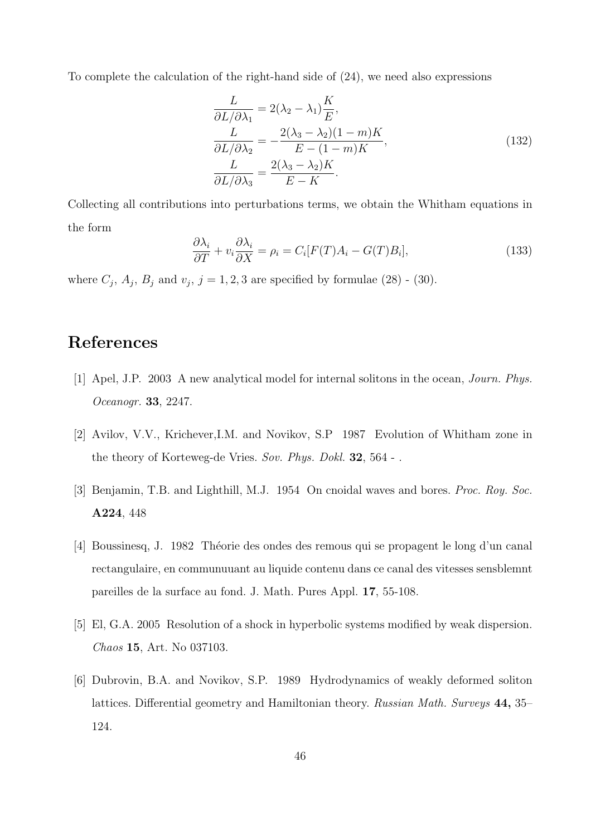To complete the calculation of the right-hand side of (24), we need also expressions

$$
\frac{L}{\partial L/\partial \lambda_1} = 2(\lambda_2 - \lambda_1) \frac{K}{E},
$$
\n
$$
\frac{L}{\partial L/\partial \lambda_2} = -\frac{2(\lambda_3 - \lambda_2)(1 - m)K}{E - (1 - m)K},
$$
\n
$$
\frac{L}{\partial L/\partial \lambda_3} = \frac{2(\lambda_3 - \lambda_2)K}{E - K}.
$$
\n(132)

Collecting all contributions into perturbations terms, we obtain the Whitham equations in the form

$$
\frac{\partial \lambda_i}{\partial T} + v_i \frac{\partial \lambda_i}{\partial X} = \rho_i = C_i [F(T) A_i - G(T) B_i], \qquad (133)
$$

where  $C_j$ ,  $A_j$ ,  $B_j$  and  $v_j$ ,  $j = 1, 2, 3$  are specified by formulae (28) - (30).

## References

- [1] Apel, J.P. 2003 A new analytical model for internal solitons in the ocean, Journ. Phys. Oceanogr. 33, 2247.
- [2] Avilov, V.V., Krichever,I.M. and Novikov, S.P 1987 Evolution of Whitham zone in the theory of Korteweg-de Vries. Sov. Phys. Dokl. 32, 564 -.
- [3] Benjamin, T.B. and Lighthill, M.J. 1954 On cnoidal waves and bores. Proc. Roy. Soc. A224, 448
- [4] Boussinesq, J. 1982 Théorie des ondes des remous qui se propagent le long d'un canal rectangulaire, en communuuant au liquide contenu dans ce canal des vitesses sensblemnt pareilles de la surface au fond. J. Math. Pures Appl. 17, 55-108.
- [5] El, G.A. 2005 Resolution of a shock in hyperbolic systems modified by weak dispersion. Chaos 15, Art. No 037103.
- [6] Dubrovin, B.A. and Novikov, S.P. 1989 Hydrodynamics of weakly deformed soliton lattices. Differential geometry and Hamiltonian theory. Russian Math. Surveys 44, 35– 124.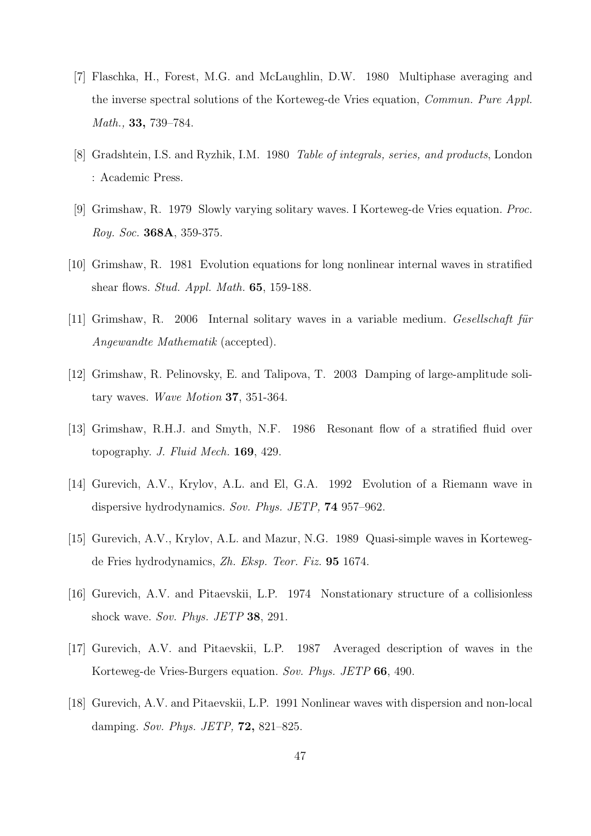- [7] Flaschka, H., Forest, M.G. and McLaughlin, D.W. 1980 Multiphase averaging and the inverse spectral solutions of the Korteweg-de Vries equation, Commun. Pure Appl. Math., 33, 739–784.
- [8] Gradshtein, I.S. and Ryzhik, I.M. 1980 Table of integrals, series, and products, London : Academic Press.
- [9] Grimshaw, R. 1979 Slowly varying solitary waves. I Korteweg-de Vries equation. Proc. Roy. Soc. 368A, 359-375.
- [10] Grimshaw, R. 1981 Evolution equations for long nonlinear internal waves in stratified shear flows. Stud. Appl. Math. 65, 159-188.
- $[11]$  Grimshaw, R. 2006 Internal solitary waves in a variable medium. Gesellschaft für Angewandte Mathematik (accepted).
- [12] Grimshaw, R. Pelinovsky, E. and Talipova, T. 2003 Damping of large-amplitude solitary waves. Wave Motion 37, 351-364.
- [13] Grimshaw, R.H.J. and Smyth, N.F. 1986 Resonant flow of a stratified fluid over topography. J. Fluid Mech. 169, 429.
- [14] Gurevich, A.V., Krylov, A.L. and El, G.A. 1992 Evolution of a Riemann wave in dispersive hydrodynamics. Sov. Phys. JETP, **74** 957–962.
- [15] Gurevich, A.V., Krylov, A.L. and Mazur, N.G. 1989 Quasi-simple waves in Kortewegde Fries hydrodynamics, Zh. Eksp. Teor. Fiz. 95 1674.
- [16] Gurevich, A.V. and Pitaevskii, L.P. 1974 Nonstationary structure of a collisionless shock wave. Sov. Phys. JETP 38, 291.
- [17] Gurevich, A.V. and Pitaevskii, L.P. 1987 Averaged description of waves in the Korteweg-de Vries-Burgers equation. Sov. Phys. JETP 66, 490.
- [18] Gurevich, A.V. and Pitaevskii, L.P. 1991 Nonlinear waves with dispersion and non-local damping. Sov. Phys. JETP, **72**, 821–825.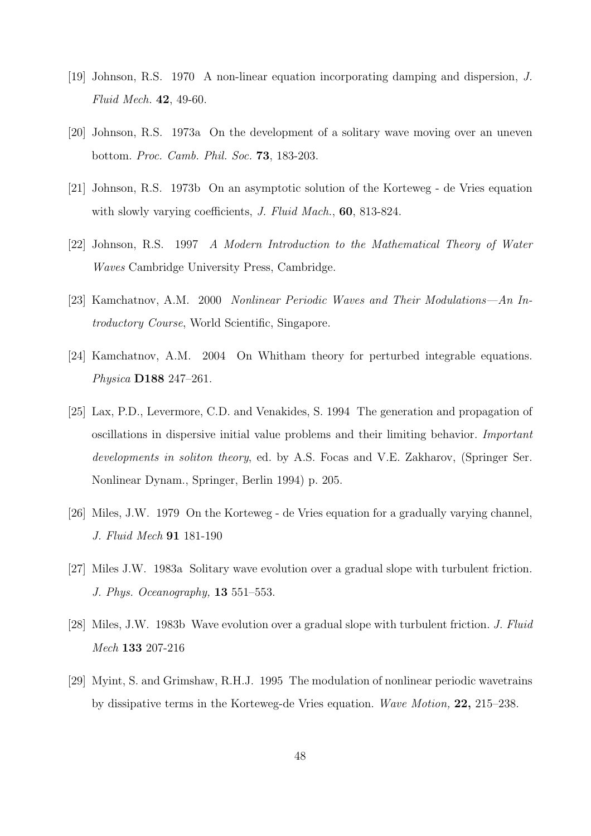- [19] Johnson, R.S. 1970 A non-linear equation incorporating damping and dispersion, J. Fluid Mech. 42, 49-60.
- [20] Johnson, R.S. 1973a On the development of a solitary wave moving over an uneven bottom. Proc. Camb. Phil. Soc. 73, 183-203.
- [21] Johnson, R.S. 1973b On an asymptotic solution of the Korteweg de Vries equation with slowly varying coefficients, *J. Fluid Mach.*, **60**, 813-824.
- [22] Johnson, R.S. 1997 A Modern Introduction to the Mathematical Theory of Water Waves Cambridge University Press, Cambridge.
- [23] Kamchatnov, A.M. 2000 Nonlinear Periodic Waves and Their Modulations—An Introductory Course, World Scientific, Singapore.
- [24] Kamchatnov, A.M. 2004 On Whitham theory for perturbed integrable equations. Physica D188 247–261.
- [25] Lax, P.D., Levermore, C.D. and Venakides, S. 1994 The generation and propagation of oscillations in dispersive initial value problems and their limiting behavior. Important developments in soliton theory, ed. by A.S. Focas and V.E. Zakharov, (Springer Ser. Nonlinear Dynam., Springer, Berlin 1994) p. 205.
- [26] Miles, J.W. 1979 On the Korteweg de Vries equation for a gradually varying channel, J. Fluid Mech 91 181-190
- [27] Miles J.W. 1983a Solitary wave evolution over a gradual slope with turbulent friction. J. Phys. Oceanography, 13 551–553.
- [28] Miles, J.W. 1983b Wave evolution over a gradual slope with turbulent friction. J. Fluid Mech 133 207-216
- [29] Myint, S. and Grimshaw, R.H.J. 1995 The modulation of nonlinear periodic wavetrains by dissipative terms in the Korteweg-de Vries equation. Wave Motion, 22, 215–238.